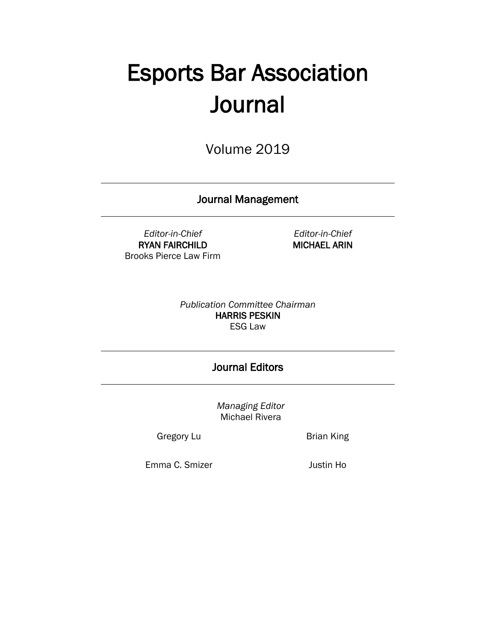# Esports Bar Association **Journal**

Volume 2019

Journal Management

*Editor-in-Chief* RYAN FAIRCHILD Brooks Pierce Law Firm

*Editor-in-Chief* MICHAEL ARIN

*Publication Committee Chairman* HARRIS PESKIN ESG Law

## Journal Editors

*Managing Editor* Michael Rivera

Gregory Lu **Brian King** 

Emma C. Smizer **Justin Ho**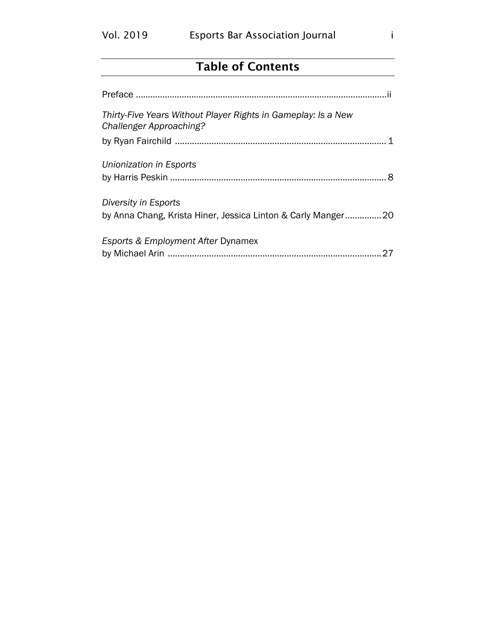## Table of Contents

| Thirty-Five Years Without Player Rights in Gameplay: Is a New<br>Challenger Approaching? |
|------------------------------------------------------------------------------------------|
|                                                                                          |
| Unionization in Esports                                                                  |
|                                                                                          |
| Diversity in Esports<br>by Anna Chang, Krista Hiner, Jessica Linton & Carly Manger20     |
| Esports & Employment After Dynamex                                                       |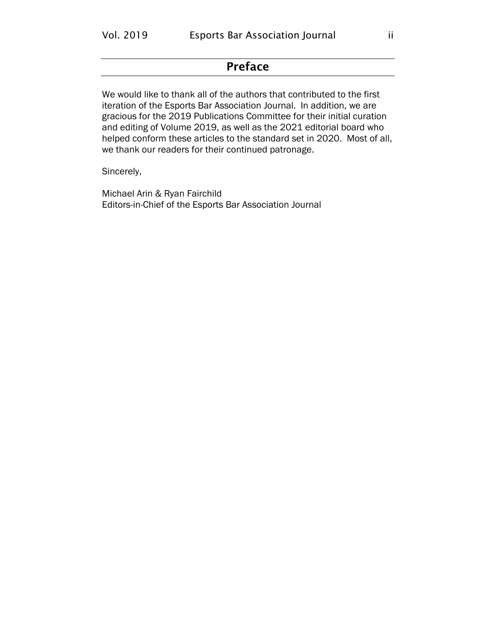## Preface

<span id="page-2-0"></span>We would like to thank all of the authors that contributed to the first iteration of the Esports Bar Association Journal. In addition, we are gracious for the 2019 Publications Committee for their initial curation and editing of Volume 2019, as well as the 2021 editorial board who helped conform these articles to the standard set in 2020. Most of all, we thank our readers for their continued patronage.

#### Sincerely,

Michael Arin & Ryan Fairchild Editors-in-Chief of the Esports Bar Association Journal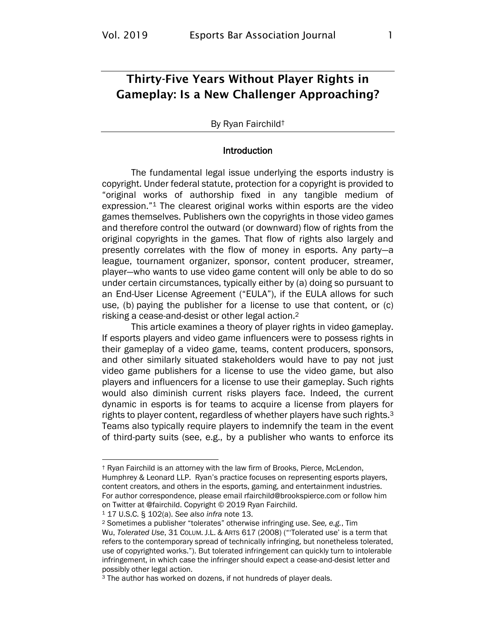## <span id="page-3-0"></span>Thirty-Five Years Without Player Rights in Gameplay: Is a New Challenger Approaching?

#### By Ryan Fairchild†

#### Introduction

The fundamental legal issue underlying the esports industry is copyright. Under federal statute, protection for a copyright is provided to "original works of authorship fixed in any tangible medium of expression."<sup>1</sup> The clearest original works within esports are the video games themselves. Publishers own the copyrights in those video games and therefore control the outward (or downward) flow of rights from the original copyrights in the games. That flow of rights also largely and presently correlates with the flow of money in esports. Any party—a league, tournament organizer, sponsor, content producer, streamer, player—who wants to use video game content will only be able to do so under certain circumstances, typically either by (a) doing so pursuant to an End-User License Agreement ("EULA"), if the EULA allows for such use, (b) paying the publisher for a license to use that content, or (c) risking a cease-and-desist or other legal action.<sup>2</sup>

This article examines a theory of player rights in video gameplay. If esports players and video game influencers were to possess rights in their gameplay of a video game, teams, content producers, sponsors, and other similarly situated stakeholders would have to pay not just video game publishers for a license to use the video game, but also players and influencers for a license to use their gameplay. Such rights would also diminish current risks players face. Indeed, the current dynamic in esports is for teams to acquire a license from players for rights to player content, regardless of whether players have such rights.<sup>3</sup> Teams also typically require players to indemnify the team in the event of third-party suits (see, e.g., by a publisher who wants to enforce its

<sup>1</sup> 17 U.S.C. § 102(a). *See also infra* note [13.](#page-5-0)

<sup>†</sup> Ryan Fairchild is an attorney with the law firm of Brooks, Pierce, McLendon, Humphrey & Leonard LLP. Ryan's practice focuses on representing esports players, content creators, and others in the esports, gaming, and entertainment industries. For author correspondence, please email rfairchild@brookspierce.com or follow him on Twitter at @fairchild. Copyright © 2019 Ryan Fairchild.

<sup>2</sup> Sometimes a publisher "tolerates" otherwise infringing use. *See, e.g.*, Tim Wu, *Tolerated Use*, 31 COLUM. J.L. & ARTS 617 (2008) ("'Tolerated use' is a term that refers to the contemporary spread of technically infringing, but nonetheless tolerated, use of copyrighted works."). But tolerated infringement can quickly turn to intolerable infringement, in which case the infringer should expect a cease-and-desist letter and possibly other legal action.

<sup>3</sup> The author has worked on dozens, if not hundreds of player deals.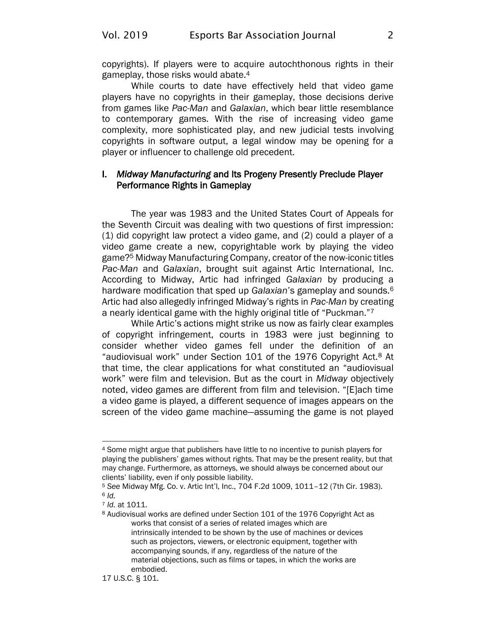copyrights). If players were to acquire autochthonous rights in their gameplay, those risks would abate.<sup>4</sup>

While courts to date have effectively held that video game players have no copyrights in their gameplay, those decisions derive from games like *Pac-Man* and *Galaxian*, which bear little resemblance to contemporary games. With the rise of increasing video game complexity, more sophisticated play, and new judicial tests involving copyrights in software output, a legal window may be opening for a player or influencer to challenge old precedent.

#### I. *Midway Manufacturing* and Its Progeny Presently Preclude Player Performance Rights in Gameplay

The year was 1983 and the United States Court of Appeals for the Seventh Circuit was dealing with two questions of first impression: (1) did copyright law protect a video game, and (2) could a player of a video game create a new, copyrightable work by playing the video game?<sup>5</sup> Midway Manufacturing Company, creator of the now-iconic titles *Pac-Man* and *Galaxian*, brought suit against Artic International, Inc. According to Midway, Artic had infringed *Galaxian* by producing a hardware modification that sped up *Galaxian*'s gameplay and sounds.<sup>6</sup> Artic had also allegedly infringed Midway's rights in *Pac-Man* by creating a nearly identical game with the highly original title of "Puckman."<sup>7</sup>

While Artic's actions might strike us now as fairly clear examples of copyright infringement, courts in 1983 were just beginning to consider whether video games fell under the definition of an "audiovisual work" under Section 101 of the 1976 Copyright Act.<sup>8</sup> At that time, the clear applications for what constituted an "audiovisual work" were film and television. But as the court in *Midway* objectively noted, video games are different from film and television. "[E]ach time a video game is played, a different sequence of images appears on the screen of the video game machine—assuming the game is not played

<sup>4</sup> Some might argue that publishers have little to no incentive to punish players for playing the publishers' games without rights. That may be the present reality, but that may change. Furthermore, as attorneys, we should always be concerned about our clients' liability, even if only possible liability.

<sup>5</sup> *See* Midway Mfg. Co. v. Artic Int'l, Inc., 704 F.2d 1009, 1011–12 (7th Cir. 1983).  $6$  *Id.* 

<sup>7</sup> *Id.* at 1011.

<sup>8</sup> Audiovisual works are defined under Section 101 of the 1976 Copyright Act as works that consist of a series of related images which are intrinsically intended to be shown by the use of machines or devices such as projectors, viewers, or electronic equipment, together with accompanying sounds, if any, regardless of the nature of the material objections, such as films or tapes, in which the works are embodied.

<sup>17</sup> U.S.C. § 101.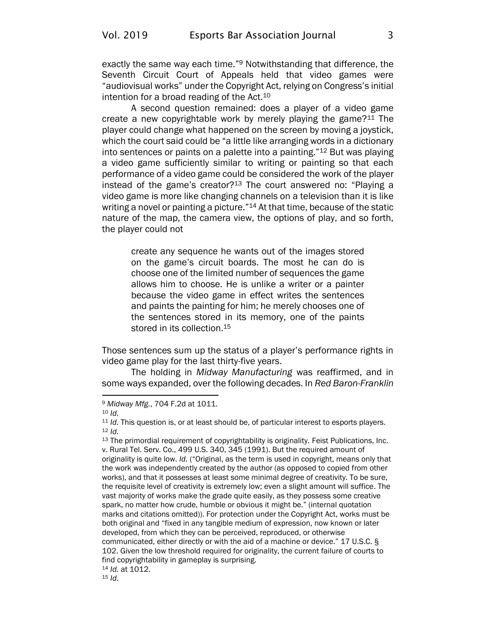exactly the same way each time."<sup>9</sup> Notwithstanding that difference, the Seventh Circuit Court of Appeals held that video games were "audiovisual works" under the Copyright Act, relying on Congress's initial intention for a broad reading of the Act.<sup>10</sup>

A second question remained: does a player of a video game create a new copyrightable work by merely playing the game?<sup>11</sup> The player could change what happened on the screen by moving a joystick, which the court said could be "a little like arranging words in a dictionary into sentences or paints on a palette into a painting."<sup>12</sup> But was playing a video game sufficiently similar to writing or painting so that each performance of a video game could be considered the work of the player instead of the game's creator?<sup>13</sup> The court answered no: "Playing a video game is more like changing channels on a television than it is like writing a novel or painting a picture."<sup>14</sup> At that time, because of the static nature of the map, the camera view, the options of play, and so forth, the player could not

<span id="page-5-0"></span>create any sequence he wants out of the images stored on the game's circuit boards. The most he can do is choose one of the limited number of sequences the game allows him to choose. He is unlike a writer or a painter because the video game in effect writes the sentences and paints the painting for him; he merely chooses one of the sentences stored in its memory, one of the paints stored in its collection.<sup>15</sup>

Those sentences sum up the status of a player's performance rights in video game play for the last thirty-five years.

The holding in *Midway Manufacturing* was reaffirmed, and in some ways expanded, over the following decades. In *Red Baron-Franklin* 

<sup>9</sup> *Midway Mfg.*, 704 F.2d at 1011.

 $10<sub>1d</sub>$ .

<sup>&</sup>lt;sup>11</sup> *Id.* This question is, or at least should be, of particular interest to esports players. <sup>12</sup> *Id.*

<sup>&</sup>lt;sup>13</sup> The primordial requirement of copyrightability is originality. Feist Publications, Inc. v. Rural Tel. Serv. Co., 499 U.S. 340, 345 (1991). But the required amount of originality is quite low. *Id.* ("Original, as the term is used in copyright, means only that the work was independently created by the author (as opposed to copied from other works), and that it possesses at least some minimal degree of creativity. To be sure, the requisite level of creativity is extremely low; even a slight amount will suffice. The vast majority of works make the grade quite easily, as they possess some creative spark, no matter how crude, humble or obvious it might be." (internal quotation marks and citations omitted)). For protection under the Copyright Act, works must be both original and "fixed in any tangible medium of expression, now known or later developed, from which they can be perceived, reproduced, or otherwise communicated, either directly or with the aid of a machine or device." 17 U.S.C. § 102. Given the low threshold required for originality, the current failure of courts to find copyrightability in gameplay is surprising. <sup>14</sup> *Id.* at 1012.

<sup>15</sup> *Id.*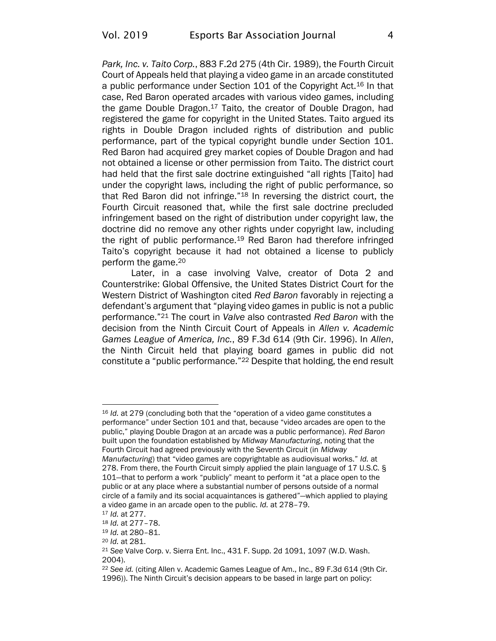*Park, Inc. v. Taito Corp.*, 883 F.2d 275 (4th Cir. 1989), the Fourth Circuit Court of Appeals held that playing a video game in an arcade constituted a public performance under Section 101 of the Copyright Act.<sup>16</sup> In that case, Red Baron operated arcades with various video games, including the game Double Dragon.<sup>17</sup> Taito, the creator of Double Dragon, had registered the game for copyright in the United States. Taito argued its rights in Double Dragon included rights of distribution and public performance, part of the typical copyright bundle under Section 101. Red Baron had acquired grey market copies of Double Dragon and had not obtained a license or other permission from Taito. The district court had held that the first sale doctrine extinguished "all rights [Taito] had under the copyright laws, including the right of public performance, so that Red Baron did not infringe."<sup>18</sup> In reversing the district court, the Fourth Circuit reasoned that, while the first sale doctrine precluded infringement based on the right of distribution under copyright law, the doctrine did no remove any other rights under copyright law, including the right of public performance.<sup>19</sup> Red Baron had therefore infringed Taito's copyright because it had not obtained a license to publicly perform the game.<sup>20</sup>

Later, in a case involving Valve, creator of Dota 2 and Counterstrike: Global Offensive, the United States District Court for the Western District of Washington cited *Red Baron* favorably in rejecting a defendant's argument that "playing video games in public is not a public performance."<sup>21</sup> The court in *Valve* also contrasted *Red Baron* with the decision from the Ninth Circuit Court of Appeals in *Allen v. Academic Games League of America, Inc.*, 89 F.3d 614 (9th Cir. 1996). In *Allen*, the Ninth Circuit held that playing board games in public did not constitute a "public performance."<sup>22</sup> Despite that holding, the end result

<sup>16</sup> *Id.* at 279 (concluding both that the "operation of a video game constitutes a performance" under Section 101 and that, because "video arcades are open to the public," playing Double Dragon at an arcade was a public performance). *Red Baron* built upon the foundation established by *Midway Manufacturing*, noting that the Fourth Circuit had agreed previously with the Seventh Circuit (in *Midway Manufacturing*) that "video games are copyrightable as audiovisual works." *Id.* at 278. From there, the Fourth Circuit simply applied the plain language of 17 U.S.C. § 101—that to perform a work "publicly" meant to perform it "at a place open to the public or at any place where a substantial number of persons outside of a normal circle of a family and its social acquaintances is gathered"—which applied to playing a video game in an arcade open to the public. *Id.* at 278–79.

<sup>17</sup> *Id.* at 277.

<sup>18</sup> *Id.* at 277–78.

<sup>19</sup> *Id.* at 280–81.

<sup>20</sup> *Id.* at 281.

<sup>21</sup> *See* Valve Corp. v. Sierra Ent. Inc., 431 F. Supp. 2d 1091, 1097 (W.D. Wash. 2004).

<sup>22</sup> *See id.* (citing Allen v. Academic Games League of Am., Inc., 89 F.3d 614 (9th Cir. 1996)). The Ninth Circuit's decision appears to be based in large part on policy: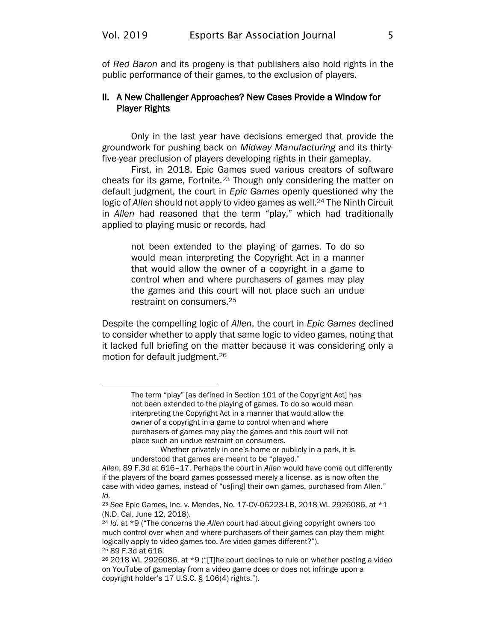of *Red Baron* and its progeny is that publishers also hold rights in the public performance of their games, to the exclusion of players.

#### II. A New Challenger Approaches? New Cases Provide a Window for Player Rights

Only in the last year have decisions emerged that provide the groundwork for pushing back on *Midway Manufacturing* and its thirtyfive-year preclusion of players developing rights in their gameplay.

First, in 2018, Epic Games sued various creators of software cheats for its game, Fortnite.<sup>23</sup> Though only considering the matter on default judgment, the court in *Epic Games* openly questioned why the logic of *Allen* should not apply to video games as well.<sup>24</sup> The Ninth Circuit in *Allen* had reasoned that the term "play," which had traditionally applied to playing music or records, had

not been extended to the playing of games. To do so would mean interpreting the Copyright Act in a manner that would allow the owner of a copyright in a game to control when and where purchasers of games may play the games and this court will not place such an undue restraint on consumers.<sup>25</sup>

Despite the compelling logic of *Allen*, the court in *Epic Games* declined to consider whether to apply that same logic to video games, noting that it lacked full briefing on the matter because it was considering only a motion for default judgment.<sup>26</sup>

The term "play" [as defined in Section 101 of the Copyright Act] has not been extended to the playing of games. To do so would mean interpreting the Copyright Act in a manner that would allow the owner of a copyright in a game to control when and where purchasers of games may play the games and this court will not place such an undue restraint on consumers.

Whether privately in one's home or publicly in a park, it is understood that games are meant to be "played."

*Allen*, 89 F.3d at 616–17. Perhaps the court in *Allen* would have come out differently if the players of the board games possessed merely a license, as is now often the case with video games, instead of "us[ing] their own games, purchased from Allen." *Id.*

<sup>23</sup> *See* Epic Games, Inc. v. Mendes, No. 17-CV-06223-LB, 2018 WL 2926086, at \*1 (N.D. Cal. June 12, 2018).

<sup>24</sup> *Id.* at \*9 ("The concerns the *Allen* court had about giving copyright owners too much control over when and where purchasers of their games can play them might logically apply to video games too. Are video games different?"). <sup>25</sup> 89 F.3d at 616.

 $26$  2018 WL 2926086, at  $*9$  ("[T]he court declines to rule on whether posting a video on YouTube of gameplay from a video game does or does not infringe upon a copyright holder's 17 U.S.C. § 106(4) rights.").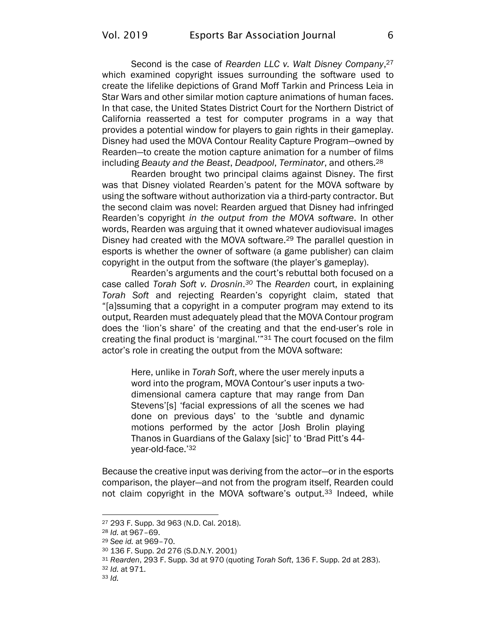Second is the case of *Rearden LLC v. Walt Disney Company*, 27 which examined copyright issues surrounding the software used to create the lifelike depictions of Grand Moff Tarkin and Princess Leia in Star Wars and other similar motion capture animations of human faces. In that case, the United States District Court for the Northern District of California reasserted a test for computer programs in a way that provides a potential window for players to gain rights in their gameplay. Disney had used the MOVA Contour Reality Capture Program—owned by Rearden—to create the motion capture animation for a number of films including *Beauty and the Beast*, *Deadpool*, *Terminator*, and others.<sup>28</sup>

Rearden brought two principal claims against Disney. The first was that Disney violated Rearden's patent for the MOVA software by using the software without authorization via a third-party contractor. But the second claim was novel: Rearden argued that Disney had infringed Rearden's copyright *in the output from the MOVA software*. In other words, Rearden was arguing that it owned whatever audiovisual images Disney had created with the MOVA software.<sup>29</sup> The parallel question in esports is whether the owner of software (a game publisher) can claim copyright in the output from the software (the player's gameplay).

Rearden's arguments and the court's rebuttal both focused on a case called *Torah Soft v. Drosnin*. *<sup>30</sup>* The *Rearden* court, in explaining *Torah Soft* and rejecting Rearden's copyright claim, stated that "[a]ssuming that a copyright in a computer program may extend to its output, Rearden must adequately plead that the MOVA Contour program does the 'lion's share' of the creating and that the end-user's role in creating the final product is 'marginal.'"<sup>31</sup> The court focused on the film actor's role in creating the output from the MOVA software:

Here, unlike in *Torah Soft*, where the user merely inputs a word into the program, MOVA Contour's user inputs a twodimensional camera capture that may range from Dan Stevens'[s] 'facial expressions of all the scenes we had done on previous days' to the 'subtle and dynamic motions performed by the actor [Josh Brolin playing Thanos in Guardians of the Galaxy [sic]' to 'Brad Pitt's 44 year-old-face.'<sup>32</sup>

Because the creative input was deriving from the actor—or in the esports comparison, the player—and not from the program itself, Rearden could not claim copyright in the MOVA software's output.<sup>33</sup> Indeed, while

<sup>27</sup> 293 F. Supp. 3d 963 (N.D. Cal. 2018).

<sup>28</sup> *Id.* at 967–69.

<sup>29</sup> *See id.* at 969–70.

<sup>30</sup> 136 F. Supp. 2d 276 (S.D.N.Y. 2001)

<sup>31</sup> *Rearden*, 293 F. Supp. 3d at 970 (quoting *Torah Soft*, 136 F. Supp. 2d at 283).

<sup>32</sup> *Id.* at 971.

<sup>33</sup> *Id.*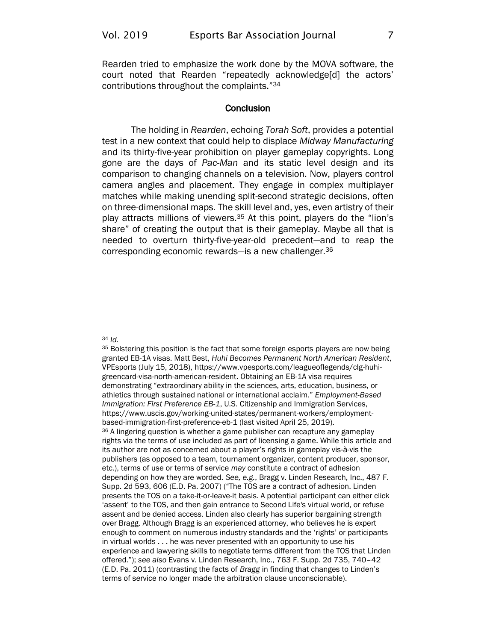Rearden tried to emphasize the work done by the MOVA software, the court noted that Rearden "repeatedly acknowledge[d] the actors' contributions throughout the complaints."<sup>34</sup>

#### **Conclusion**

The holding in *Rearden*, echoing *Torah Soft*, provides a potential test in a new context that could help to displace *Midway Manufacturing* and its thirty-five-year prohibition on player gameplay copyrights. Long gone are the days of *Pac-Man* and its static level design and its comparison to changing channels on a television. Now, players control camera angles and placement. They engage in complex multiplayer matches while making unending split-second strategic decisions, often on three-dimensional maps. The skill level and, yes, even artistry of their play attracts millions of viewers.<sup>35</sup> At this point, players do the "lion's share" of creating the output that is their gameplay. Maybe all that is needed to overturn thirty-five-year-old precedent—and to reap the corresponding economic rewards—is a new challenger.<sup>36</sup>

#### <sup>34</sup> *Id.*

<sup>&</sup>lt;sup>35</sup> Bolstering this position is the fact that some foreign esports players are now being granted EB-1A visas. Matt Best, *Huhi Becomes Permanent North American Resident*, VPEsports (July 15, 2018), [https://www.vpesports.com/leagueoflegends/clg-huhi](https://www.vpesports.com/leagueoflegends/clg-huhi-greencard-visa-north-american-resident/)[greencard-visa-north-american-resident.](https://www.vpesports.com/leagueoflegends/clg-huhi-greencard-visa-north-american-resident/) Obtaining an EB-1A visa requires demonstrating "extraordinary ability in the sciences, arts, education, business, or athletics through sustained national or international acclaim." *Employment-Based Immigration: First Preference EB-1*, U.S. Citizenship and Immigration Services, [https://www.uscis.gov/working-united-states/permanent-workers/employment](https://www.uscis.gov/working-united-states/permanent-workers/employment-based-immigration-first-preference-eb-1)[based-immigration-first-preference-eb-1](https://www.uscis.gov/working-united-states/permanent-workers/employment-based-immigration-first-preference-eb-1) (last visited April 25, 2019). <sup>36</sup> A lingering question is whether a game publisher can recapture any gameplay rights via the terms of use included as part of licensing a game. While this article and its author are not as concerned about a player's rights in gameplay vis-à-vis the publishers (as opposed to a team, tournament organizer, content producer, sponsor, etc.), terms of use or terms of service *may* constitute a contract of adhesion depending on how they are worded. *See, e.g.*, Bragg v. Linden Research, Inc., 487 F. Supp. 2d 593, 606 (E.D. Pa. 2007) ("The TOS are a contract of adhesion. Linden presents the TOS on a take-it-or-leave-it basis. A potential participant can either click 'assent' to the TOS, and then gain entrance to Second Life's virtual world, or refuse assent and be denied access. Linden also clearly has superior bargaining strength over Bragg. Although Bragg is an experienced attorney, who believes he is expert enough to comment on numerous industry standards and the 'rights' or participants in virtual worlds . . . he was never presented with an opportunity to use his experience and lawyering skills to negotiate terms different from the TOS that Linden offered."); *see also* Evans v. Linden Research, Inc., 763 F. Supp. 2d 735, 740–42 (E.D. Pa. 2011) (contrasting the facts of *Bragg* in finding that changes to Linden's terms of service no longer made the arbitration clause unconscionable).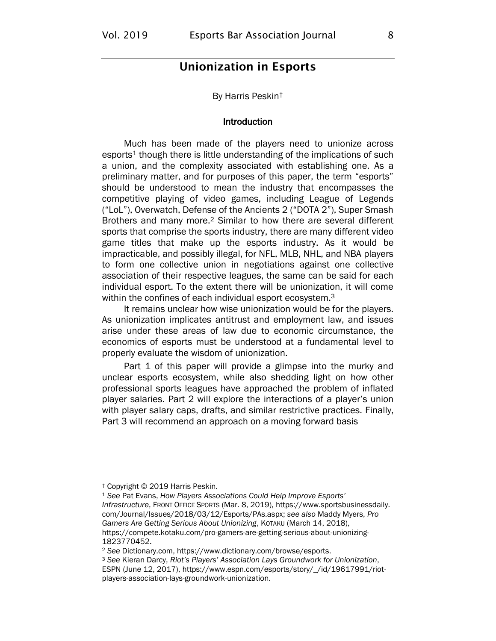### <span id="page-10-0"></span>Unionization in Esports

#### By Harris Peskin†

#### <span id="page-10-1"></span>Introduction

Much has been made of the players need to unionize across  $esports<sup>1</sup>$  though there is little understanding of the implications of such a union, and the complexity associated with establishing one. As a preliminary matter, and for purposes of this paper, the term "esports" should be understood to mean the industry that encompasses the competitive playing of video games, including League of Legends ("LoL"), Overwatch, Defense of the Ancients 2 ("DOTA 2"), Super Smash Brothers and many more.<sup>2</sup> Similar to how there are several different sports that comprise the sports industry, there are many different video game titles that make up the esports industry. As it would be impracticable, and possibly illegal, for NFL, MLB, NHL, and NBA players to form one collective union in negotiations against one collective association of their respective leagues, the same can be said for each individual esport. To the extent there will be unionization, it will come within the confines of each individual esport ecosystem.<sup>3</sup>

It remains unclear how wise unionization would be for the players. As unionization implicates antitrust and employment law, and issues arise under these areas of law due to economic circumstance, the economics of esports must be understood at a fundamental level to properly evaluate the wisdom of unionization.

Part 1 of this paper will provide a glimpse into the murky and unclear esports ecosystem, while also shedding light on how other professional sports leagues have approached the problem of inflated player salaries. Part 2 will explore the interactions of a player's union with player salary caps, drafts, and similar restrictive practices. Finally, Part 3 will recommend an approach on a moving forward basis

<sup>†</sup> Copyright © 2019 Harris Peskin.

<sup>1</sup> *See* Pat Evans, *How Players Associations Could Help Improve Esports' Infrastructure*, FRONT OFFICE SPORTS (Mar. 8, 2019), [https://www.sportsbusinessdaily.](https://www.sportsbusinessdaily.com/Journal/Issues/2018/03/12/Esports/PAs.aspx) [com/Journal/Issues/2018/03/12/Esports/PAs.aspx;](https://www.sportsbusinessdaily.com/Journal/Issues/2018/03/12/Esports/PAs.aspx) *see also* Maddy Myers, *Pro Gamers Are Getting Serious About Unionizing*, KOTAKU (March 14, 2018), [https://compete.kotaku.com/pro-gamers-are-getting-serious-about-unionizing-](https://compete.kotaku.com/pro-gamers-are-getting-serious-about-unionizing-1823770452)[1823770452.](https://compete.kotaku.com/pro-gamers-are-getting-serious-about-unionizing-1823770452)

<sup>2</sup> *See* Dictionary.com[, https://www.dictionary.com/browse/esports.](https://www.dictionary.com/browse/esports)

<sup>3</sup> *See* Kieran Darcy, *Riot's Players' Association Lays Groundwork for Unionization*, ESPN (June 12, 2017), [https://www.espn.com/esports/story/\\_/id/19617991/riot](https://www.espn.com/esports/story/_/id/19617991/riot-players-association-lays-groundwork-unionization)[players-association-lays-groundwork-unionization.](https://www.espn.com/esports/story/_/id/19617991/riot-players-association-lays-groundwork-unionization)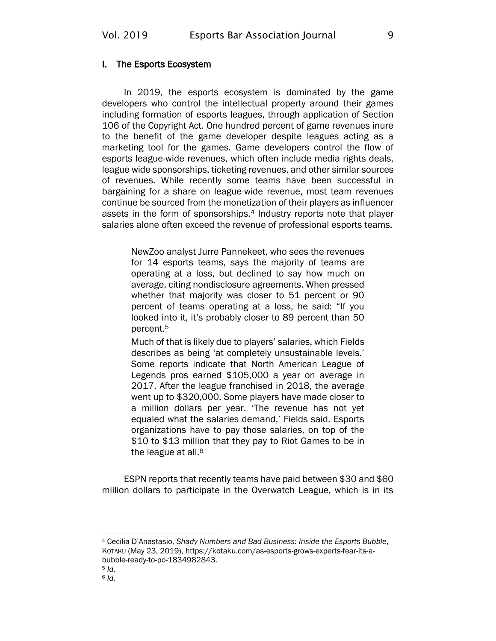#### I. The Esports Ecosystem

In 2019, the esports ecosystem is dominated by the game developers who control the intellectual property around their games including formation of esports leagues, through application of Section 106 of the Copyright Act. One hundred percent of game revenues inure to the benefit of the game developer despite leagues acting as a marketing tool for the games. Game developers control the flow of esports league-wide revenues, which often include media rights deals, league wide sponsorships, ticketing revenues, and other similar sources of revenues. While recently some teams have been successful in bargaining for a share on league-wide revenue, most team revenues continue be sourced from the monetization of their players as influencer assets in the form of sponsorships.<sup>4</sup> Industry reports note that player salaries alone often exceed the revenue of professional esports teams.

> NewZoo analyst Jurre Pannekeet, who sees the revenues for 14 esports teams, says the majority of teams are operating at a loss, but declined to say how much on average, citing nondisclosure agreements. When pressed whether that majority was closer to 51 percent or 90 percent of teams operating at a loss, he said: "If you looked into it, it's probably closer to 89 percent than 50 percent.<sup>5</sup>

> Much of that is likely due to players' salaries, which Fields describes as being 'at completely unsustainable levels.' Some reports indicate that North American League of Legends pros earned \$105,000 a year on average in 2017. After the league franchised in 2018, the average went up to \$320,000. Some players have made closer to a million dollars per year. 'The revenue has not yet equaled what the salaries demand,' Fields said. Esports organizations have to pay those salaries, on top of the \$10 to \$13 million that they pay to Riot Games to be in the league at all.<sup>6</sup>

ESPN reports that recently teams have paid between \$30 and \$60 million dollars to participate in the Overwatch League, which is in its

<sup>4</sup> Cecilia D'Anastasio, *Shady Numbers and Bad Business: Inside the Esports Bubble*, KOTAKU (May 23, 2019), [https://kotaku.com/as-esports-grows-experts-fear-its-a](https://kotaku.com/as-esports-grows-experts-fear-its-a-bubble-ready-to-po-1834982843)[bubble-ready-to-po-1834982843.](https://kotaku.com/as-esports-grows-experts-fear-its-a-bubble-ready-to-po-1834982843)

<sup>5</sup> *Id.*

<sup>6</sup> *Id.*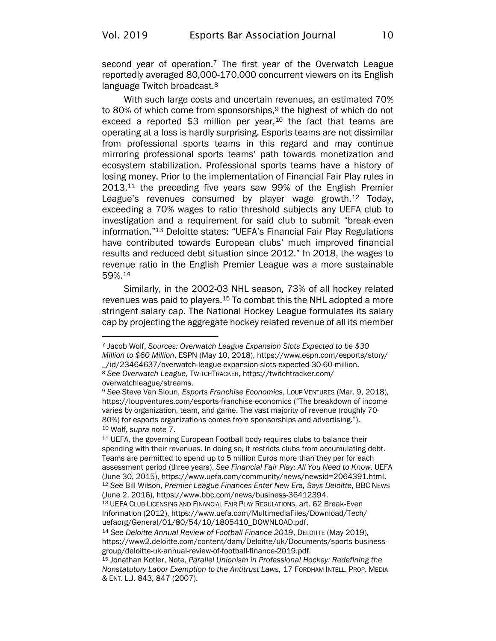<span id="page-12-0"></span>second year of operation.<sup>7</sup> The first year of the Overwatch League reportedly averaged 80,000-170,000 concurrent viewers on its English language Twitch broadcast.<sup>8</sup>

With such large costs and uncertain revenues, an estimated 70% to 80% of which come from sponsorships, $9$  the highest of which do not exceed a reported  $$3$  million per year,<sup>10</sup> the fact that teams are operating at a loss is hardly surprising. Esports teams are not dissimilar from professional sports teams in this regard and may continue mirroring professional sports teams' path towards monetization and ecosystem stabilization. Professional sports teams have a history of losing money. Prior to the implementation of Financial Fair Play rules in  $2013$ ,<sup>11</sup> the preceding five years saw 99% of the English Premier League's revenues consumed by player wage growth.<sup>12</sup> Today, exceeding a 70% wages to ratio threshold subjects any UEFA club to investigation and a requirement for said club to submit "break-even information."<sup>13</sup> Deloitte states: "UEFA's Financial Fair Play Regulations have contributed towards European clubs' much improved financial results and reduced debt situation since 2012." In 2018, the wages to revenue ratio in the English Premier League was a more sustainable 59%.<sup>14</sup>

<span id="page-12-1"></span>Similarly, in the 2002-03 NHL season, 73% of all hockey related revenues was paid to players.<sup>15</sup> To combat this the NHL adopted a more stringent salary cap. The National Hockey League formulates its salary cap by projecting the aggregate hockey related revenue of all its member

[overwatchleague/streams.](https://twitchtracker.com/overwatchleague/streams)

<sup>7</sup> Jacob Wolf, *Sources: Overwatch League Expansion Slots Expected to be \$30 Million to \$60 Million*, ESPN (May 10, 2018), [https://www.espn.com/esports/story/](https://www.espn.com/esports/story/_/id/23464637/overwatch-league-expansion-slots-expected-30-60-million) [\\_/id/23464637/overwatch-league-expansion-slots-expected-30-60-million.](https://www.espn.com/esports/story/_/id/23464637/overwatch-league-expansion-slots-expected-30-60-million) <sup>8</sup> *See Overwatch League*, TWITCHTRACKER[, https://twitchtracker.com/](https://twitchtracker.com/overwatchleague/streams)

<sup>9</sup> *See* Steve Van Sloun, *Esports Franchise Economics*, LOUP VENTURES (Mar. 9, 2018), [https://loupventures.com/esports-franchise-economics](https://loupventures.com/esports-franchise-economics/) ("The breakdown of income varies by organization, team, and game. The vast majority of revenue (roughly 70- 80%) for esports organizations comes from sponsorships and advertising."). <sup>10</sup> Wolf, *supra* note [7.](#page-12-0)

<sup>&</sup>lt;sup>11</sup> UEFA, the governing European Football body requires clubs to balance their spending with their revenues. In doing so, it restricts clubs from accumulating debt. Teams are permitted to spend up to 5 million Euros more than they per for each assessment period (three years). *See Financial Fair Play: All You Need to Know,* UEFA (June 30, 2015), [https://www.uefa.com/community/news/newsid=2064391.html.](https://www.uefa.com/community/news/newsid=2064391.html) <sup>12</sup> *See* Bill Wilson, *Premier League Finances Enter New Era, Says Deloitte*, BBC NEWS (June 2, 2016), [https://www.bbc.com/news/business-36412394.](https://www.bbc.com/news/business-36412394)

<sup>13</sup> UEFA CLUB LICENSING AND FINANCIAL FAIR PLAY REGULATIONS, art. 62 Break-Even Information (2012), [https://www.uefa.com/MultimediaFiles/Download/Tech/](https://www.uefa.com/MultimediaFiles/Download/Tech/uefaorg/General/01/80/54/10/1805410_DOWNLOAD.pdf) [uefaorg/General/01/80/54/10/1805410\\_DOWNLOAD.pdf.](https://www.uefa.com/MultimediaFiles/Download/Tech/uefaorg/General/01/80/54/10/1805410_DOWNLOAD.pdf)

<sup>14</sup> *See Deloitte Annual Review of Football Finance 2019*, DELOITTE (May 2019), [https://www2.deloitte.com/content/dam/Deloitte/uk/Documents/sports-business](https://www2.deloitte.com/content/dam/Deloitte/uk/Documents/sports-business-group/deloitte-uk-annual-review-of-football-finance-2019.pdf)[group/deloitte-uk-annual-review-of-football-finance-2019.pdf.](https://www2.deloitte.com/content/dam/Deloitte/uk/Documents/sports-business-group/deloitte-uk-annual-review-of-football-finance-2019.pdf)

<sup>15</sup> Jonathan Kotler, Note, *Parallel Unionism in Professional Hockey: Redefining the Nonstatutory Labor Exemption to the Antitrust Laws,* 17 FORDHAM INTELL. PROP. MEDIA & ENT. L.J. 843, 847 (2007).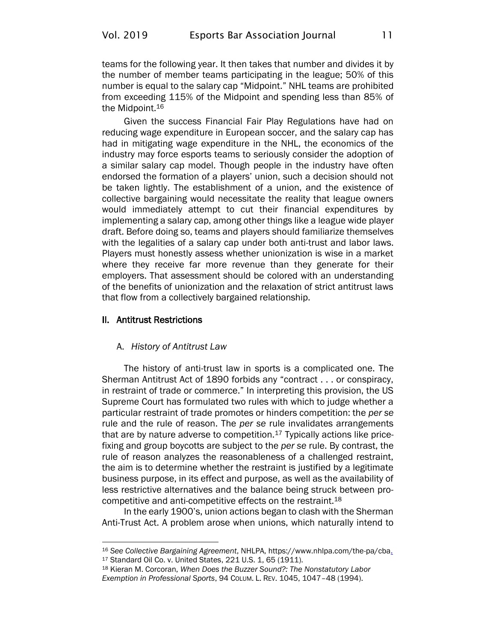teams for the following year. It then takes that number and divides it by the number of member teams participating in the league; 50% of this number is equal to the salary cap "Midpoint." NHL teams are prohibited from exceeding 115% of the Midpoint and spending less than 85% of the Midpoint.<sup>16</sup>

Given the success Financial Fair Play Regulations have had on reducing wage expenditure in European soccer, and the salary cap has had in mitigating wage expenditure in the NHL, the economics of the industry may force esports teams to seriously consider the adoption of a similar salary cap model. Though people in the industry have often endorsed the formation of a players' union, such a decision should not be taken lightly. The establishment of a union, and the existence of collective bargaining would necessitate the reality that league owners would immediately attempt to cut their financial expenditures by implementing a salary cap, among other things like a league wide player draft. Before doing so, teams and players should familiarize themselves with the legalities of a salary cap under both anti-trust and labor laws. Players must honestly assess whether unionization is wise in a market where they receive far more revenue than they generate for their employers. That assessment should be colored with an understanding of the benefits of unionization and the relaxation of strict antitrust laws that flow from a collectively bargained relationship.

#### II. Antitrust Restrictions

#### A. *History of Antitrust Law*

The history of anti-trust law in sports is a complicated one. The Sherman Antitrust Act of 1890 forbids any "contract . . . or conspiracy, in restraint of trade or commerce." In interpreting this provision, the US Supreme Court has formulated two rules with which to judge whether a particular restraint of trade promotes or hinders competition: the *per se*  rule and the rule of reason. The *per se* rule invalidates arrangements that are by nature adverse to competition. $17$  Typically actions like pricefixing and group boycotts are subject to the *per se* rule. By contrast, the rule of reason analyzes the reasonableness of a challenged restraint, the aim is to determine whether the restraint is justified by a legitimate business purpose, in its effect and purpose, as well as the availability of less restrictive alternatives and the balance being struck between procompetitive and anti-competitive effects on the restraint.<sup>18</sup>

In the early 1900's, union actions began to clash with the Sherman Anti-Trust Act. A problem arose when unions, which naturally intend to

<sup>16</sup> *See Collective Bargaining Agreement*, NHLPA, [https://www.nhlpa.com/the-pa/cba.](https://www.nhlpa.com/the-pa/cba) <sup>17</sup> Standard Oil Co. v. United States, 221 U.S. 1, 65 (1911).

<sup>18</sup> Kieran M. Corcoran, *When Does the Buzzer Sound?: The Nonstatutory Labor Exemption in Professional Sports*, 94 COLUM. L. REV. 1045, 1047–48 (1994).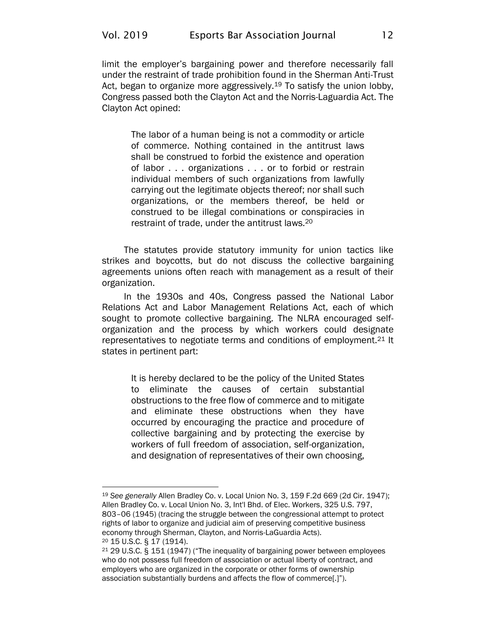limit the employer's bargaining power and therefore necessarily fall under the restraint of trade prohibition found in the Sherman Anti-Trust Act, began to organize more aggressively.<sup>19</sup> To satisfy the union lobby, Congress passed both the Clayton Act and the Norris-Laguardia Act. The Clayton Act opined:

The labor of a human being is not a commodity or article of commerce. Nothing contained in the antitrust laws shall be construed to forbid the existence and operation of labor . . . organizations . . . or to forbid or restrain individual members of such organizations from lawfully carrying out the legitimate objects thereof; nor shall such organizations, or the members thereof, be held or construed to be illegal combinations or conspiracies in restraint of trade, under the antitrust laws.<sup>20</sup>

The statutes provide statutory immunity for union tactics like strikes and boycotts, but do not discuss the collective bargaining agreements unions often reach with management as a result of their organization.

In the 1930s and 40s, Congress passed the National Labor Relations Act and Labor Management Relations Act, each of which sought to promote collective bargaining. The NLRA encouraged selforganization and the process by which workers could designate representatives to negotiate terms and conditions of employment.<sup>21</sup> It states in pertinent part:

It is hereby declared to be the policy of the United States to eliminate the causes of certain substantial obstructions to the free flow of commerce and to mitigate and eliminate these obstructions when they have occurred by encouraging the practice and procedure of collective bargaining and by protecting the exercise by workers of full freedom of association, self-organization, and designation of representatives of their own choosing,

<sup>19</sup> *See generally* Allen Bradley Co. v. Local Union No. 3, 159 F.2d 669 (2d Cir. 1947); Allen Bradley Co. v. Local Union No. 3, Int'l Bhd. of Elec. Workers, 325 U.S. 797, 803–06 (1945) (tracing the struggle between the congressional attempt to protect rights of labor to organize and judicial aim of preserving competitive business economy through Sherman, Clayton, and Norris-LaGuardia Acts). <sup>20</sup> 15 U.S.C. § 17 (1914).

<sup>21</sup> 29 U.S.C. § 151 (1947) ("The inequality of bargaining power between employees who do not possess full freedom of association or actual liberty of contract, and employers who are organized in the corporate or other forms of ownership association substantially burdens and affects the flow of commerce[.]").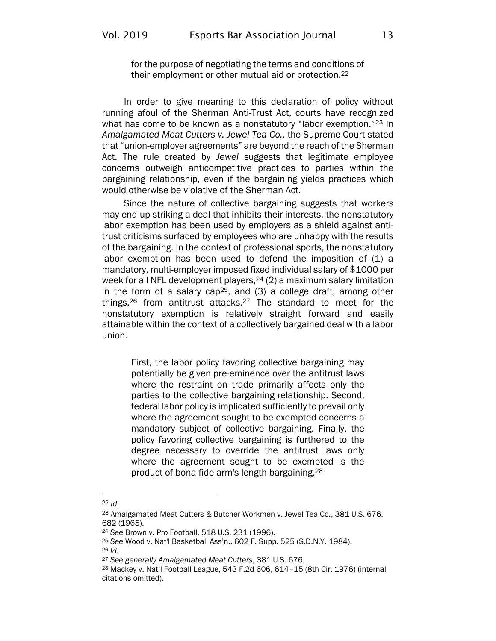for the purpose of negotiating the terms and conditions of their employment or other mutual aid or protection.<sup>22</sup>

In order to give meaning to this declaration of policy without running afoul of the Sherman Anti-Trust Act, courts have recognized what has come to be known as a nonstatutory "labor exemption."<sup>23</sup> In *Amalgamated Meat Cutters v. Jewel Tea Co.,* the Supreme Court stated that "union-employer agreements" are beyond the reach of the Sherman Act. The rule created by *Jewel* suggests that legitimate employee concerns outweigh anticompetitive practices to parties within the bargaining relationship, even if the bargaining yields practices which would otherwise be violative of the Sherman Act.

Since the nature of collective bargaining suggests that workers may end up striking a deal that inhibits their interests, the nonstatutory labor exemption has been used by employers as a shield against antitrust criticisms surfaced by employees who are unhappy with the results of the bargaining. In the context of professional sports, the nonstatutory labor exemption has been used to defend the imposition of (1) a mandatory, multi-employer imposed fixed individual salary of \$1000 per week for all NFL development players, <sup>24</sup> (2) a maximum salary limitation in the form of a salary cap<sup>25</sup>, and  $(3)$  a college draft, among other things,<sup>26</sup> from antitrust attacks.<sup>27</sup> The standard to meet for the nonstatutory exemption is relatively straight forward and easily attainable within the context of a collectively bargained deal with a labor union.

First, the labor policy favoring collective bargaining may potentially be given pre-eminence over the antitrust laws where the restraint on trade primarily affects only the parties to the collective bargaining relationship. Second, federal labor policy is implicated sufficiently to prevail only where the agreement sought to be exempted concerns a mandatory subject of collective bargaining. Finally, the policy favoring collective bargaining is furthered to the degree necessary to override the antitrust laws only where the agreement sought to be exempted is the product of bona fide arm's-length bargaining.<sup>28</sup>

<sup>22</sup> *Id*.

<sup>23</sup> Amalgamated Meat Cutters & Butcher Workmen v. Jewel Tea Co., 381 U.S. 676, 682 (1965).

<sup>24</sup> *See* Brown v. Pro Football, 518 U.S. 231 (1996).

<sup>25</sup> *See* Wood v. Nat'l Basketball Ass'n., 602 F. Supp. 525 (S.D.N.Y. 1984).

<sup>26</sup> *Id.*

<sup>27</sup> *See generally Amalgamated Meat Cutters*, 381 U.S. 676.

<sup>28</sup> Mackey v. Nat'l Football League, 543 F.2d 606, 614–15 (8th Cir. 1976) (internal citations omitted).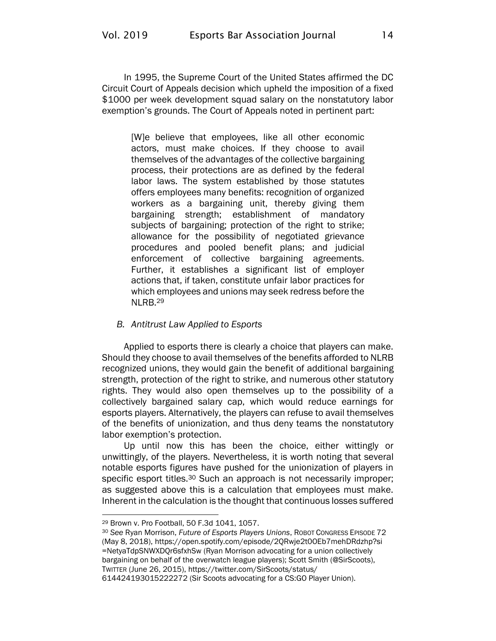In 1995, the Supreme Court of the United States affirmed the DC Circuit Court of Appeals decision which upheld the imposition of a fixed \$1000 per week development squad salary on the nonstatutory labor exemption's grounds. The Court of Appeals noted in pertinent part:

[W]e believe that employees, like all other economic actors, must make choices. If they choose to avail themselves of the advantages of the collective bargaining process, their protections are as defined by the federal labor laws. The system established by those statutes offers employees many benefits: recognition of organized workers as a bargaining unit, thereby giving them bargaining strength; establishment of mandatory subjects of bargaining; protection of the right to strike; allowance for the possibility of negotiated grievance procedures and pooled benefit plans; and judicial enforcement of collective bargaining agreements. Further, it establishes a significant list of employer actions that, if taken, constitute unfair labor practices for which employees and unions may seek redress before the NLRB.<sup>29</sup>

#### *B. Antitrust Law Applied to Esports*

Applied to esports there is clearly a choice that players can make. Should they choose to avail themselves of the benefits afforded to NLRB recognized unions, they would gain the benefit of additional bargaining strength, protection of the right to strike, and numerous other statutory rights. They would also open themselves up to the possibility of a collectively bargained salary cap, which would reduce earnings for esports players. Alternatively, the players can refuse to avail themselves of the benefits of unionization, and thus deny teams the nonstatutory labor exemption's protection.

Up until now this has been the choice, either wittingly or unwittingly, of the players. Nevertheless, it is worth noting that several notable esports figures have pushed for the unionization of players in specific esport titles.<sup>30</sup> Such an approach is not necessarily improper; as suggested above this is a calculation that employees must make. Inherent in the calculation is the thought that continuous losses suffered

<sup>29</sup> Brown v. Pro Football, 50 F.3d 1041, 1057.

<sup>30</sup> *See* Ryan Morrison, *Future of Esports Players Unions*, ROBOT CONGRESS EPISODE 72 (May 8, 2018), [https://open.spotify.com/episode/2QRwje2t0OEb7mehDRdzhp?si](https://open.spotify.com/episode/2QRwje2t0OEb7mehDRdzhp?si=NetyaTdpSNWXDQr6sfxhSw) [=NetyaTdpSNWXDQr6sfxhSw](https://open.spotify.com/episode/2QRwje2t0OEb7mehDRdzhp?si=NetyaTdpSNWXDQr6sfxhSw) (Ryan Morrison advocating for a union collectively bargaining on behalf of the overwatch league players); Scott Smith (@SirScoots), TWITTER (June 26, 2015), [https://twitter.com/SirScoots/status/](https://twitter.com/SirScoots/status/614424193015222272)

[<sup>614424193015222272</sup>](https://twitter.com/SirScoots/status/614424193015222272) (Sir Scoots advocating for a CS:GO Player Union).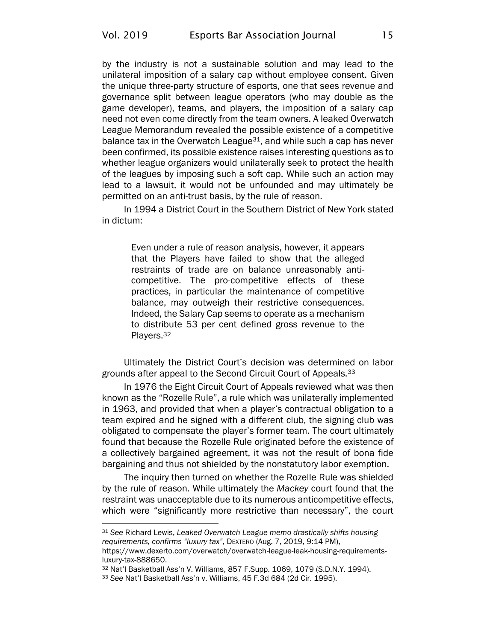by the industry is not a sustainable solution and may lead to the unilateral imposition of a salary cap without employee consent. Given the unique three-party structure of esports, one that sees revenue and governance split between league operators (who may double as the game developer), teams, and players, the imposition of a salary cap need not even come directly from the team owners. A leaked Overwatch League Memorandum revealed the possible existence of a competitive balance tax in the Overwatch League $31$ , and while such a cap has never been confirmed, its possible existence raises interesting questions as to whether league organizers would unilaterally seek to protect the health of the leagues by imposing such a soft cap. While such an action may lead to a lawsuit, it would not be unfounded and may ultimately be permitted on an anti-trust basis, by the rule of reason.

In 1994 a District Court in the Southern District of New York stated in dictum:

Even under a rule of reason analysis, however, it appears that the Players have failed to show that the alleged restraints of trade are on balance unreasonably anticompetitive. The pro-competitive effects of these practices, in particular the maintenance of competitive balance, may outweigh their restrictive consequences. Indeed, the Salary Cap seems to operate as a mechanism to distribute 53 per cent defined gross revenue to the Players.<sup>32</sup>

Ultimately the District Court's decision was determined on labor grounds after appeal to the Second Circuit Court of Appeals.<sup>33</sup>

In 1976 the Eight Circuit Court of Appeals reviewed what was then known as the "Rozelle Rule", a rule which was unilaterally implemented in 1963, and provided that when a player's contractual obligation to a team expired and he signed with a different club, the signing club was obligated to compensate the player's former team. The court ultimately found that because the Rozelle Rule originated before the existence of a collectively bargained agreement, it was not the result of bona fide bargaining and thus not shielded by the nonstatutory labor exemption.

The inquiry then turned on whether the Rozelle Rule was shielded by the rule of reason. While ultimately the *Mackey* court found that the restraint was unacceptable due to its numerous anticompetitive effects, which were "significantly more restrictive than necessary", the court

<sup>31</sup> *See* Richard Lewis, *Leaked Overwatch League memo drastically shifts housing requirements, confirms "luxury tax"*, DEXTERO (Aug. 7, 2019, 9:14 PM), [https://www.dexerto.com/overwatch/overwatch-league-leak-housing-requirements](https://www.dexerto.com/overwatch/overwatch-league-leak-housing-requirements-luxury-tax-888650)[luxury-tax-888650.](https://www.dexerto.com/overwatch/overwatch-league-leak-housing-requirements-luxury-tax-888650)

<sup>32</sup> Nat'l Basketball Ass'n V. Williams, 857 F.Supp. 1069, 1079 (S.D.N.Y. 1994).

<sup>33</sup> *See* Nat'l Basketball Ass'n v. Williams, 45 F.3d 684 (2d Cir. 1995).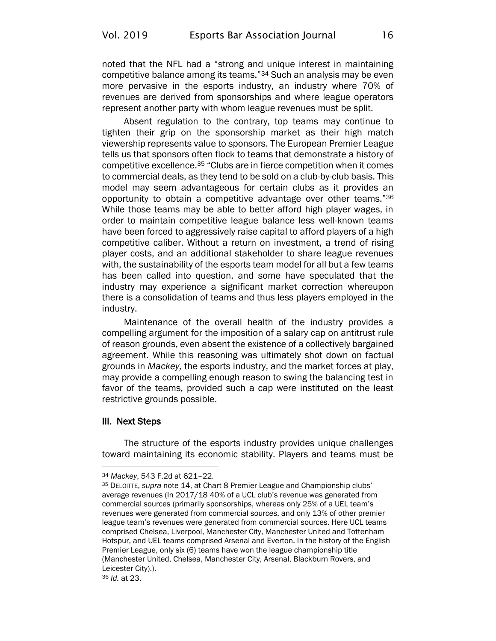noted that the NFL had a "strong and unique interest in maintaining competitive balance among its teams."<sup>34</sup> Such an analysis may be even more pervasive in the esports industry, an industry where 70% of revenues are derived from sponsorships and where league operators represent another party with whom league revenues must be split.

Absent regulation to the contrary, top teams may continue to tighten their grip on the sponsorship market as their high match viewership represents value to sponsors. The European Premier League tells us that sponsors often flock to teams that demonstrate a history of competitive excellence.<sup>35</sup> "Clubs are in fierce competition when it comes to commercial deals, as they tend to be sold on a club-by-club basis. This model may seem advantageous for certain clubs as it provides an opportunity to obtain a competitive advantage over other teams."<sup>36</sup> While those teams may be able to better afford high player wages, in order to maintain competitive league balance less well-known teams have been forced to aggressively raise capital to afford players of a high competitive caliber. Without a return on investment, a trend of rising player costs, and an additional stakeholder to share league revenues with, the sustainability of the esports team model for all but a few teams has been called into question, and some have speculated that the industry may experience a significant market correction whereupon there is a consolidation of teams and thus less players employed in the industry.

Maintenance of the overall health of the industry provides a compelling argument for the imposition of a salary cap on antitrust rule of reason grounds, even absent the existence of a collectively bargained agreement. While this reasoning was ultimately shot down on factual grounds in *Mackey,* the esports industry, and the market forces at play, may provide a compelling enough reason to swing the balancing test in favor of the teams, provided such a cap were instituted on the least restrictive grounds possible.

#### III. Next Steps

The structure of the esports industry provides unique challenges toward maintaining its economic stability. Players and teams must be

<sup>34</sup> *Mackey*, 543 F.2d at 621–22.

<sup>35</sup> DELOITTE, *supra* note [14](#page-12-1), at Chart 8 Premier League and Championship clubs' average revenues (In 2017/18 40% of a UCL club's revenue was generated from commercial sources (primarily sponsorships, whereas only 25% of a UEL team's revenues were generated from commercial sources, and only 13% of other premier league team's revenues were generated from commercial sources. Here UCL teams comprised Chelsea, Liverpool, Manchester City, Manchester United and Tottenham Hotspur, and UEL teams comprised Arsenal and Everton. In the history of the English Premier League, only six (6) teams have won the league championship title (Manchester United, Chelsea, Manchester City, Arsenal, Blackburn Rovers, and Leicester City).).

<sup>36</sup> *Id.* at 23.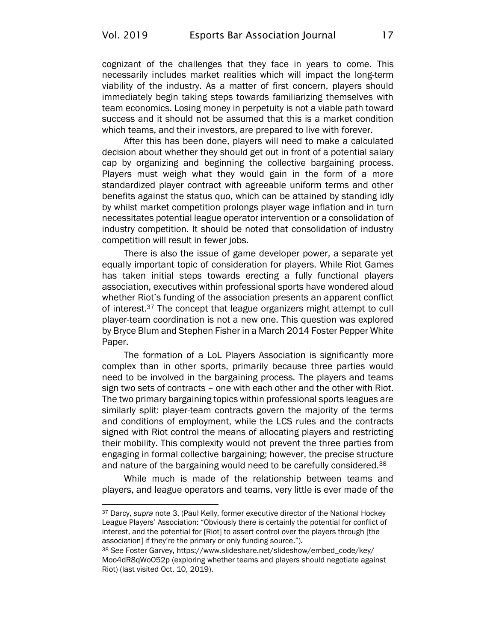cognizant of the challenges that they face in years to come. This necessarily includes market realities which will impact the long-term viability of the industry. As a matter of first concern, players should immediately begin taking steps towards familiarizing themselves with team economics. Losing money in perpetuity is not a viable path toward success and it should not be assumed that this is a market condition which teams, and their investors, are prepared to live with forever.

After this has been done, players will need to make a calculated decision about whether they should get out in front of a potential salary cap by organizing and beginning the collective bargaining process. Players must weigh what they would gain in the form of a more standardized player contract with agreeable uniform terms and other benefits against the status quo, which can be attained by standing idly by whilst market competition prolongs player wage inflation and in turn necessitates potential league operator intervention or a consolidation of industry competition. It should be noted that consolidation of industry competition will result in fewer jobs.

There is also the issue of game developer power, a separate yet equally important topic of consideration for players. While Riot Games has taken initial steps towards erecting a fully functional players association, executives within professional sports have wondered aloud whether Riot's funding of the association presents an apparent conflict of interest.<sup>37</sup> The concept that league organizers might attempt to cull player-team coordination is not a new one. This question was explored by Bryce Blum and Stephen Fisher in a March 2014 Foster Pepper White Paper.

The formation of a LoL Players Association is significantly more complex than in other sports, primarily because three parties would need to be involved in the bargaining process. The players and teams sign two sets of contracts – one with each other and the other with Riot. The two primary bargaining topics within professional sports leagues are similarly split: player-team contracts govern the majority of the terms and conditions of employment, while the LCS rules and the contracts signed with Riot control the means of allocating players and restricting their mobility. This complexity would not prevent the three parties from engaging in formal collective bargaining; however, the precise structure and nature of the bargaining would need to be carefully considered.<sup>38</sup>

While much is made of the relationship between teams and players, and league operators and teams, very little is ever made of the

<sup>37</sup> Darcy, *supra* note [3,](#page-10-1) (Paul Kelly, former executive director of the National Hockey League Players' Association: "Obviously there is certainly the potential for conflict of interest, and the potential for [Riot] to assert control over the players through [the association] if they're the primary or only funding source.").

<sup>38</sup> *See* Foster Garvey, [https://www.slideshare.net/slideshow/embed\\_code/key/](https://www.slideshare.net/slideshow/embed_code/key/Moo4dR8qWoO52p) [Moo4dR8qWoO52p](https://www.slideshare.net/slideshow/embed_code/key/Moo4dR8qWoO52p) (exploring whether teams and players should negotiate against Riot) (last visited Oct. 10, 2019).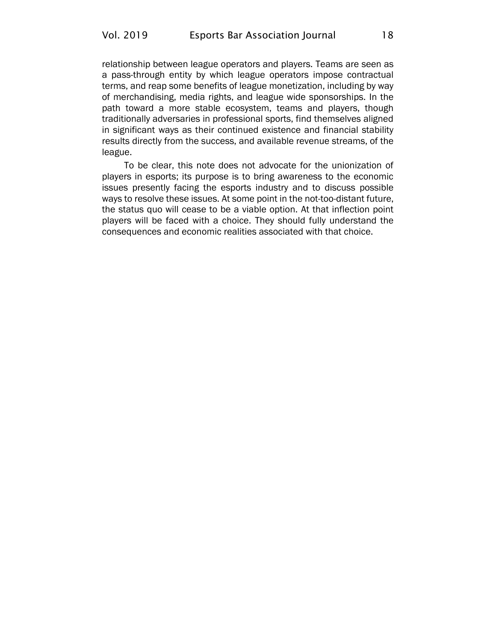relationship between league operators and players. Teams are seen as a pass-through entity by which league operators impose contractual terms, and reap some benefits of league monetization, including by way of merchandising, media rights, and league wide sponsorships. In the path toward a more stable ecosystem, teams and players, though traditionally adversaries in professional sports, find themselves aligned in significant ways as their continued existence and financial stability results directly from the success, and available revenue streams, of the league.

To be clear, this note does not advocate for the unionization of players in esports; its purpose is to bring awareness to the economic issues presently facing the esports industry and to discuss possible ways to resolve these issues. At some point in the not-too-distant future, the status quo will cease to be a viable option. At that inflection point players will be faced with a choice. They should fully understand the consequences and economic realities associated with that choice.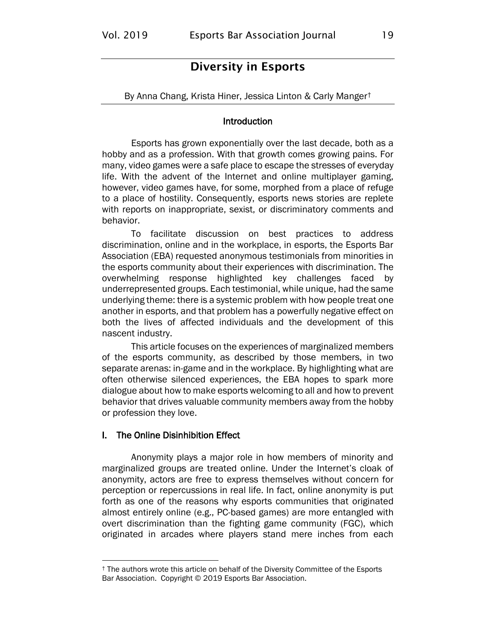## Diversity in Esports

<span id="page-21-0"></span>By Anna Chang, Krista Hiner, Jessica Linton & Carly Manger†

#### **Introduction**

Esports has grown exponentially over the last decade, both as a hobby and as a profession. With that growth comes growing pains. For many, video games were a safe place to escape the stresses of everyday life. With the advent of the Internet and online multiplayer gaming, however, video games have, for some, morphed from a place of refuge to a place of hostility. Consequently, esports news stories are replete with reports on inappropriate, sexist, or discriminatory comments and behavior.

To facilitate discussion on best practices to address discrimination, online and in the workplace, in esports, the Esports Bar Association (EBA) requested anonymous testimonials from minorities in the esports community about their experiences with discrimination. The overwhelming response highlighted key challenges faced by underrepresented groups. Each testimonial, while unique, had the same underlying theme: there is a systemic problem with how people treat one another in esports, and that problem has a powerfully negative effect on both the lives of affected individuals and the development of this nascent industry.

This article focuses on the experiences of marginalized members of the esports community, as described by those members, in two separate arenas: in-game and in the workplace. By highlighting what are often otherwise silenced experiences, the EBA hopes to spark more dialogue about how to make esports welcoming to all and how to prevent behavior that drives valuable community members away from the hobby or profession they love.

#### I. The Online Disinhibition Effect

Anonymity plays a major role in how members of minority and marginalized groups are treated online. Under the Internet's cloak of anonymity, actors are free to express themselves without concern for perception or repercussions in real life. In fact, online anonymity is put forth as one of the reasons why esports communities that originated almost entirely online (e.g., PC-based games) are more entangled with overt discrimination than the fighting game community (FGC), which originated in arcades where players stand mere inches from each

<sup>†</sup> The authors wrote this article on behalf of the Diversity Committee of the Esports Bar Association. Copyright © 2019 Esports Bar Association.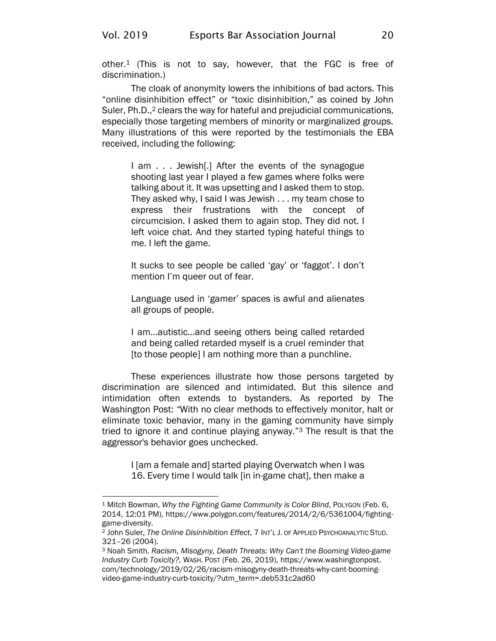other.<sup>1</sup> (This is not to say, however, that the FGC is free of discrimination.)

The cloak of anonymity lowers the inhibitions of bad actors. This "online disinhibition effect" or "toxic disinhibition," as coined by John Suler, Ph.D.,<sup>2</sup> clears the way for hateful and prejudicial communications, especially those targeting members of minority or marginalized groups. Many illustrations of this were reported by the testimonials the EBA received, including the following:

I am . . . Jewish[.] After the events of the synagogue shooting last year I played a few games where folks were talking about it. It was upsetting and I asked them to stop. They asked why, I said I was Jewish . . . my team chose to express their frustrations with the concept of circumcision. I asked them to again stop. They did not. I left voice chat. And they started typing hateful things to me. I left the game.

It sucks to see people be called 'gay' or 'faggot'. I don't mention I'm queer out of fear.

Language used in 'gamer' spaces is awful and alienates all groups of people.

I am…autistic…and seeing others being called retarded and being called retarded myself is a cruel reminder that [to those people] I am nothing more than a punchline.

These experiences illustrate how those persons targeted by discrimination are silenced and intimidated. But this silence and intimidation often extends to bystanders. As reported by The Washington Post: *"*With no clear methods to effectively monitor, halt or eliminate toxic behavior, many in the gaming community have simply tried to ignore it and continue playing anyway."<sup>3</sup> The result is that the aggressor's behavior goes unchecked.

> I [am a female and] started playing Overwatch when I was 16. Every time I would talk [in in-game chat], then make a

<sup>1</sup> Mitch Bowman, *Why the Fighting Game Community is Color Blind*, POLYGON (Feb. 6, 2014, 12:01 PM), [https://www.polygon.com/features/2014/2/6/5361004/fighting](https://www.polygon.com/features/2014/2/6/5361004/fighting-game-diversity)[game-diversity.](https://www.polygon.com/features/2014/2/6/5361004/fighting-game-diversity)

<sup>2</sup> John Suler, *The Online Disinhibition Effect*, 7 INT'L J. OF APPLIED PSYCHOANALYTIC STUD. 321–26 (2004).

<sup>3</sup> Noah Smith, *Racism, Misogyny, Death Threats: Why Can't the Booming Video-game Industry Curb Toxicity?*, WASH. POST (Feb. 26, 2019), [https://www.washingtonpost.](https://www.washingtonpost.com/technology/2019/02/26/racism-misogyny-death-threats-why-cant-booming-video-game-industry-curb-toxicity/?utm_term=.deb531c2ad60) [com/technology/2019/02/26/racism-misogyny-death-threats-why-cant-booming](https://www.washingtonpost.com/technology/2019/02/26/racism-misogyny-death-threats-why-cant-booming-video-game-industry-curb-toxicity/?utm_term=.deb531c2ad60)[video-game-industry-curb-toxicity/?utm\\_term=.deb531c2ad60](https://www.washingtonpost.com/technology/2019/02/26/racism-misogyny-death-threats-why-cant-booming-video-game-industry-curb-toxicity/?utm_term=.deb531c2ad60)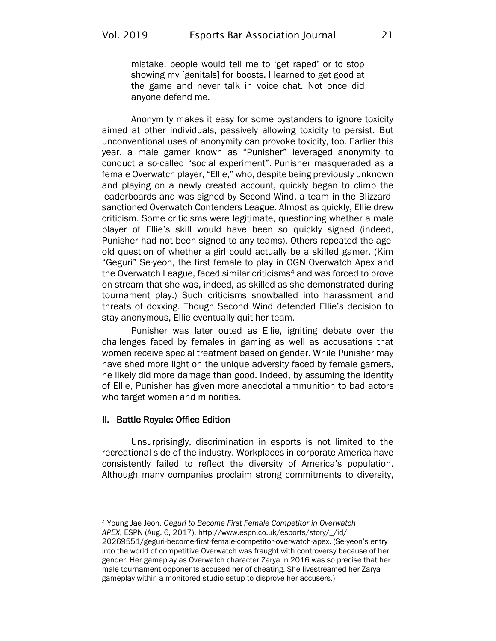mistake, people would tell me to 'get raped' or to stop showing my [genitals] for boosts. I learned to get good at the game and never talk in voice chat. Not once did anyone defend me.

Anonymity makes it easy for some bystanders to ignore toxicity aimed at other individuals, passively allowing toxicity to persist. But unconventional uses of anonymity can provoke toxicity, too. Earlier this year, a male gamer known as "Punisher" leveraged anonymity to conduct a so-called "social experiment". Punisher masqueraded as a female Overwatch player, "Ellie," who, despite being previously unknown and playing on a newly created account, quickly began to climb the leaderboards and was signed by Second Wind, a team in the Blizzardsanctioned Overwatch Contenders League. Almost as quickly, Ellie drew criticism. Some criticisms were legitimate, questioning whether a male player of Ellie's skill would have been so quickly signed (indeed, Punisher had not been signed to any teams). Others repeated the ageold question of whether a girl could actually be a skilled gamer. (Kim "Geguri" Se-yeon, the first female to play in OGN Overwatch Apex and the Overwatch League, faced similar criticisms<sup>4</sup> and was forced to prove on stream that she was, indeed, as skilled as she demonstrated during tournament play.) Such criticisms snowballed into harassment and threats of doxxing. Though Second Wind defended Ellie's decision to stay anonymous, Ellie eventually quit her team.

Punisher was later outed as Ellie, igniting debate over the challenges faced by females in gaming as well as accusations that women receive special treatment based on gender. While Punisher may have shed more light on the unique adversity faced by female gamers, he likely did more damage than good. Indeed, by assuming the identity of Ellie, Punisher has given more anecdotal ammunition to bad actors who target women and minorities.

#### II. Battle Royale: Office Edition

Unsurprisingly, discrimination in esports is not limited to the recreational side of the industry. Workplaces in corporate America have consistently failed to reflect the diversity of America's population. Although many companies proclaim strong commitments to diversity,

<sup>4</sup> Young Jae Jeon, *Geguri to Become First Female Competitor in Overwatch* 

*APEX*, ESPN (Aug. 6, 2017), [http://www.espn.co.uk/esports/story/\\_/id/](http://www.espn.co.uk/esports/story/_/id/20269551/geguri-become-first-female-competitor-overwatch-apex)

[<sup>20269551/</sup>geguri-become-first-female-competitor-overwatch-apex.](http://www.espn.co.uk/esports/story/_/id/20269551/geguri-become-first-female-competitor-overwatch-apex) (Se-yeon's entry into the world of competitive Overwatch was fraught with controversy because of her gender. Her gameplay as Overwatch character Zarya in 2016 was so precise that her male tournament opponents accused her of cheating. She livestreamed her Zarya gameplay within a monitored studio setup to disprove her accusers.)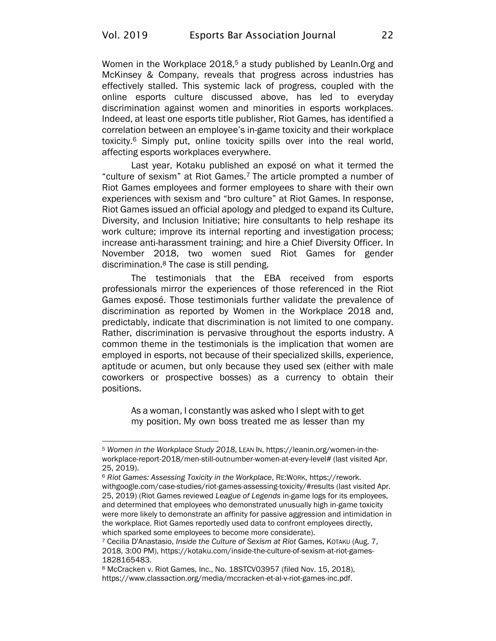Women in the Workplace 2018,<sup>5</sup> a study published by LeanIn. Org and McKinsey & Company, reveals that progress across industries has effectively stalled. This systemic lack of progress, coupled with the online esports culture discussed above, has led to everyday discrimination against women and minorities in esports workplaces. Indeed, at least one esports title publisher, Riot Games, has identified a correlation between an employee's in-game toxicity and their workplace toxicity.<sup>6</sup> Simply put, online toxicity spills over into the real world, affecting esports workplaces everywhere.

Last year, Kotaku published an exposé on what it termed the "culture of sexism" at Riot Games.<sup>7</sup> The article prompted a number of Riot Games employees and former employees to share with their own experiences with sexism and "bro culture" at Riot Games. In response, Riot Games issued an official apology and pledged to expand its Culture, Diversity, and Inclusion Initiative; hire consultants to help reshape its work culture; improve its internal reporting and investigation process; increase anti-harassment training; and hire a Chief Diversity Officer. In November 2018, two women sued Riot Games for gender discrimination.<sup>8</sup> The case is still pending.

The testimonials that the EBA received from esports professionals mirror the experiences of those referenced in the Riot Games exposé. Those testimonials further validate the prevalence of discrimination as reported by Women in the Workplace 2018 and, predictably, indicate that discrimination is not limited to one company. Rather, discrimination is pervasive throughout the esports industry. A common theme in the testimonials is the implication that women are employed in esports, not because of their specialized skills, experience, aptitude or acumen, but only because they used sex (either with male coworkers or prospective bosses) as a currency to obtain their positions.

As a woman, I constantly was asked who I slept with to get my position. My own boss treated me as lesser than my

<sup>5</sup> *Women in the Workplace Study 2018,* LEAN IN[, https://leanin.org/women-in-the](https://leanin.org/women-in-the-workplace-report-2018/men-still-outnumber-women-at-every-level)[workplace-report-2018/men-still-outnumber-women-at-every-level#](https://leanin.org/women-in-the-workplace-report-2018/men-still-outnumber-women-at-every-level) (last visited Apr. 25, 2019).

<sup>6</sup> *Riot Games: Assessing Toxicity in the Workplace*, RE:WORK, [https://rework.](https://rework.withgoogle.com/case-studies/riot-games-assessing-toxicity/#results) [withgoogle.com/case-studies/riot-games-assessing-toxicity/#results](https://rework.withgoogle.com/case-studies/riot-games-assessing-toxicity/#results) (last visited Apr. 25, 2019) (Riot Games reviewed *League of Legends* in-game logs for its employees, and determined that employees who demonstrated unusually high in-game toxicity were more likely to demonstrate an affinity for passive aggression and intimidation in the workplace. Riot Games reportedly used data to confront employees directly, which sparked some employees to become more considerate).

<sup>7</sup> Cecilia D'Anastasio, *Inside the Culture of Sexism at Riot* Games, KOTAKU (Aug. 7, 2018, 3:00 PM), [https://kotaku.com/inside-the-culture-of-sexism-at-riot-games-](https://kotaku.com/inside-the-culture-of-sexism-at-riot-games-1828165483)[1828165483.](https://kotaku.com/inside-the-culture-of-sexism-at-riot-games-1828165483)

<sup>8</sup> McCracken v. Riot Games, Inc., No. 18STCV03957 (filed Nov. 15, 2018), [https://www.classaction.org/media/mccracken-et-al-v-riot-games-inc.pdf.](https://www.classaction.org/media/mccracken-et-al-v-riot-games-inc.pdf)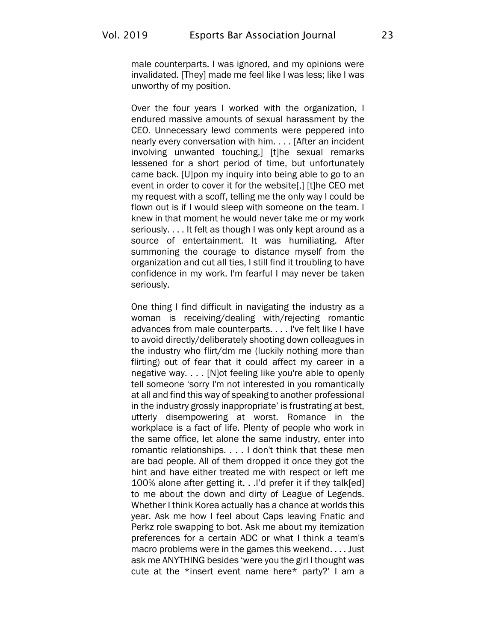male counterparts. I was ignored, and my opinions were invalidated. [They] made me feel like I was less; like I was unworthy of my position.

Over the four years I worked with the organization, I endured massive amounts of sexual harassment by the CEO. Unnecessary lewd comments were peppered into nearly every conversation with him. . . . [After an incident involving unwanted touching,] [t]he sexual remarks lessened for a short period of time, but unfortunately came back. [U]pon my inquiry into being able to go to an event in order to cover it for the website[,] [t]he CEO met my request with a scoff, telling me the only way I could be flown out is if I would sleep with someone on the team. I knew in that moment he would never take me or my work seriously. . . . It felt as though I was only kept around as a source of entertainment. It was humiliating. After summoning the courage to distance myself from the organization and cut all ties, I still find it troubling to have confidence in my work. I'm fearful I may never be taken seriously.

One thing I find difficult in navigating the industry as a woman is receiving/dealing with/rejecting romantic advances from male counterparts. . . . I've felt like I have to avoid directly/deliberately shooting down colleagues in the industry who flirt/dm me (luckily nothing more than flirting) out of fear that it could affect my career in a negative way. . . . [N]ot feeling like you're able to openly tell someone 'sorry I'm not interested in you romantically at all and find this way of speaking to another professional in the industry grossly inappropriate' is frustrating at best, utterly disempowering at worst. Romance in the workplace is a fact of life. Plenty of people who work in the same office, let alone the same industry, enter into romantic relationships. . . . I don't think that these men are bad people. All of them dropped it once they got the hint and have either treated me with respect or left me 100% alone after getting it. . .I'd prefer it if they talk[ed] to me about the down and dirty of League of Legends. Whether I think Korea actually has a chance at worlds this year. Ask me how I feel about Caps leaving Fnatic and Perkz role swapping to bot. Ask me about my itemization preferences for a certain ADC or what I think a team's macro problems were in the games this weekend. . . . Just ask me ANYTHING besides 'were you the girl I thought was cute at the \*insert event name here\* party?' I am a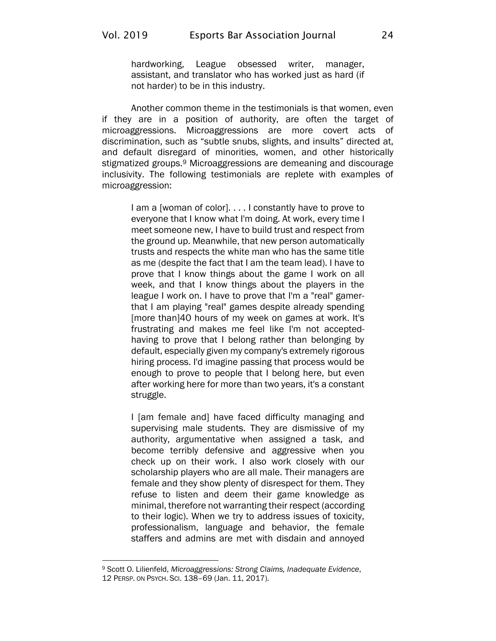hardworking, League obsessed writer, manager, assistant, and translator who has worked just as hard (if not harder) to be in this industry.

Another common theme in the testimonials is that women, even if they are in a position of authority, are often the target of microaggressions. Microaggressions are more covert acts of discrimination, such as "subtle snubs, slights, and insults" directed at, and default disregard of minorities, women, and other historically stigmatized groups.<sup>9</sup> Microaggressions are demeaning and discourage inclusivity. The following testimonials are replete with examples of microaggression:

I am a [woman of color]. . . . I constantly have to prove to everyone that I know what I'm doing. At work, every time I meet someone new, I have to build trust and respect from the ground up. Meanwhile, that new person automatically trusts and respects the white man who has the same title as me (despite the fact that I am the team lead). I have to prove that I know things about the game I work on all week, and that I know things about the players in the league I work on. I have to prove that I'm a "real" gamerthat I am playing "real" games despite already spending [more than]40 hours of my week on games at work. It's frustrating and makes me feel like I'm not acceptedhaving to prove that I belong rather than belonging by default, especially given my company's extremely rigorous hiring process. I'd imagine passing that process would be enough to prove to people that I belong here, but even after working here for more than two years, it's a constant struggle.

I [am female and] have faced difficulty managing and supervising male students. They are dismissive of my authority, argumentative when assigned a task, and become terribly defensive and aggressive when you check up on their work. I also work closely with our scholarship players who are all male. Their managers are female and they show plenty of disrespect for them. They refuse to listen and deem their game knowledge as minimal, therefore not warranting their respect (according to their logic). When we try to address issues of toxicity, professionalism, language and behavior, the female staffers and admins are met with disdain and annoyed

<sup>9</sup> Scott O. Lilienfeld, *Microaggressions: Strong Claims, Inadequate Evidence*, 12 PERSP. ON PSYCH. SCI. 138–69 (Jan. 11, 2017).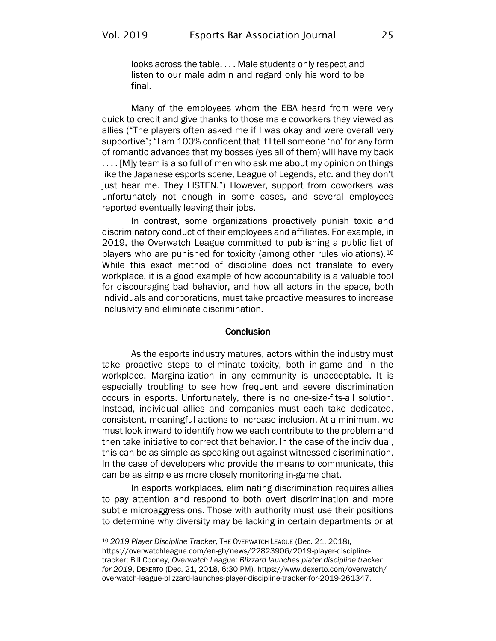looks across the table. . . . Male students only respect and listen to our male admin and regard only his word to be final.

Many of the employees whom the EBA heard from were very quick to credit and give thanks to those male coworkers they viewed as allies ("The players often asked me if I was okay and were overall very supportive"; "I am 100% confident that if I tell someone 'no' for any form of romantic advances that my bosses (yes all of them) will have my back .... [M]y team is also full of men who ask me about my opinion on things like the Japanese esports scene, League of Legends, etc. and they don't just hear me. They LISTEN.") However, support from coworkers was unfortunately not enough in some cases, and several employees reported eventually leaving their jobs.

In contrast, some organizations proactively punish toxic and discriminatory conduct of their employees and affiliates. For example, in 2019, the Overwatch League committed to publishing a public list of players who are punished for toxicity (among other rules violations).<sup>10</sup> While this exact method of discipline does not translate to every workplace, it is a good example of how accountability is a valuable tool for discouraging bad behavior, and how all actors in the space, both individuals and corporations, must take proactive measures to increase inclusivity and eliminate discrimination.

#### **Conclusion**

As the esports industry matures, actors within the industry must take proactive steps to eliminate toxicity, both in-game and in the workplace. Marginalization in any community is unacceptable. It is especially troubling to see how frequent and severe discrimination occurs in esports. Unfortunately, there is no one-size-fits-all solution. Instead, individual allies and companies must each take dedicated, consistent, meaningful actions to increase inclusion. At a minimum, we must look inward to identify how we each contribute to the problem and then take initiative to correct that behavior. In the case of the individual, this can be as simple as speaking out against witnessed discrimination. In the case of developers who provide the means to communicate, this can be as simple as more closely monitoring in-game chat.

In esports workplaces, eliminating discrimination requires allies to pay attention and respond to both overt discrimination and more subtle microaggressions. Those with authority must use their positions to determine why diversity may be lacking in certain departments or at

<sup>10</sup> *2019 Player Discipline Tracker*, THE OVERWATCH LEAGUE (Dec. 21, 2018), [https://overwatchleague.com/en-gb/news/22823906/2019-player-discipline](https://overwatchleague.com/en-gb/news/22823906/2019-player-discipline-tracker)[tracker;](https://overwatchleague.com/en-gb/news/22823906/2019-player-discipline-tracker) Bill Cooney, *Overwatch League: Blizzard launches plater discipline tracker for 2019*, DEXERTO (Dec. 21, 2018, 6:30 PM), [https://www.dexerto.com/overwatch/](https://www.dexerto.com/overwatch/overwatch-league-blizzard-launches-player-discipline-tracker-for-2019-261347/) [overwatch-league-blizzard-launches-player-discipline-tracker-for-2019-261347.](https://www.dexerto.com/overwatch/overwatch-league-blizzard-launches-player-discipline-tracker-for-2019-261347/)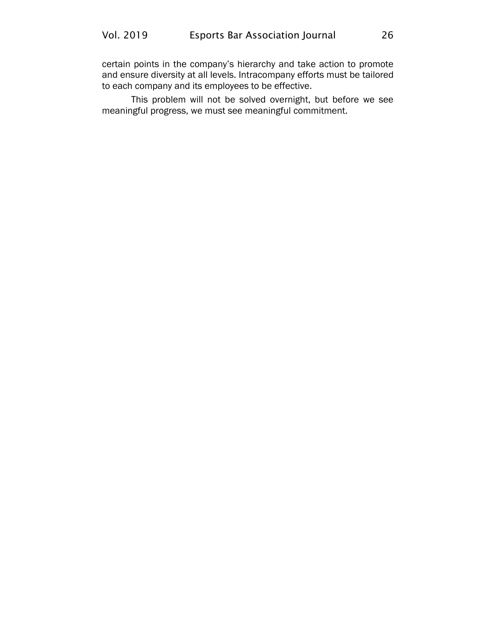certain points in the company's hierarchy and take action to promote and ensure diversity at all levels. Intracompany efforts must be tailored to each company and its employees to be effective.

This problem will not be solved overnight, but before we see meaningful progress, we must see meaningful commitment.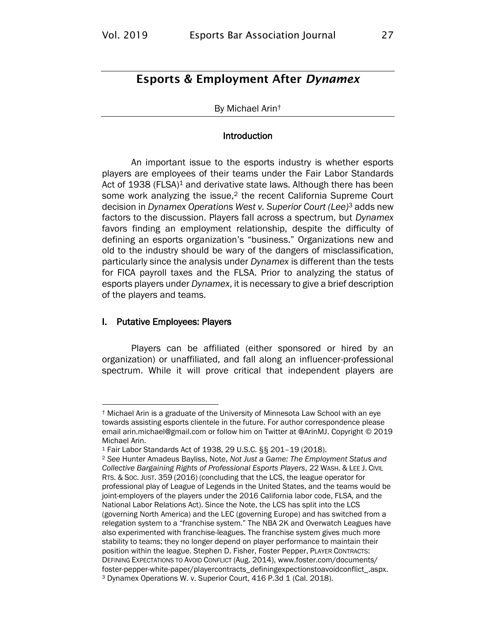## <span id="page-29-0"></span>Esports & Employment After *Dynamex*

#### By Michael Arin†

#### Introduction

An important issue to the esports industry is whether esports players are employees of their teams under the Fair Labor Standards Act of 1938 (FLSA)<sup>1</sup> and derivative state laws. Although there has been some work analyzing the issue,<sup>2</sup> the recent California Supreme Court decision in *Dynamex Operations West v. Superior Court (Lee)*<sup>3</sup> adds new factors to the discussion. Players fall across a spectrum, but *Dynamex* favors finding an employment relationship, despite the difficulty of defining an esports organization's "business." Organizations new and old to the industry should be wary of the dangers of misclassification, particularly since the analysis under *Dynamex* is different than the tests for FICA payroll taxes and the FLSA. Prior to analyzing the status of esports players under *Dynamex*, it is necessary to give a brief description of the players and teams.

#### I. Putative Employees: Players

Players can be affiliated (either sponsored or hired by an organization) or unaffiliated, and fall along an influencer-professional spectrum. While it will prove critical that independent players are

<sup>†</sup> Michael Arin is a graduate of the University of Minnesota Law School with an eye towards assisting esports clientele in the future. For author correspondence please email arin.michael@gmail.com or follow him on Twitter at @ArinMJ. Copyright © 2019 Michael Arin.

<sup>1</sup> Fair Labor Standards Act of 1938, 29 U.S.C. §§ 201–19 (2018).

<sup>2</sup> *See* Hunter Amadeus Bayliss, Note, *Not Just a Game: The Employment Status and Collective Bargaining Rights of Professional Esports Players*, 22 WASH. & LEE J. CIVIL RTS. & SOC. JUST. 359 (2016) (concluding that the LCS, the league operator for professional play of League of Legends in the United States, and the teams would be joint-employers of the players under the 2016 California labor code, FLSA, and the National Labor Relations Act). Since the Note, the LCS has split into the LCS (governing North America) and the LEC (governing Europe) and has switched from a relegation system to a "franchise system." The NBA 2K and Overwatch Leagues have also experimented with franchise-leagues. The franchise system gives much more stability to teams; they no longer depend on player performance to maintain their position within the league. Stephen D. Fisher, Foster Pepper, PLAYER CONTRACTS: DEFINING EXPECTATIONS TO AVOID CONFLICT (Aug. 2014), [www.foster.com/documents/](http://www.foster.com/documents/foster-pepper-white-paper/playercontracts_definingexpectationstoavoidconflict_.aspx) [foster-pepper-white-paper/playercontracts\\_definingexpectionstoavoidconflict\\_.aspx.](http://www.foster.com/documents/foster-pepper-white-paper/playercontracts_definingexpectationstoavoidconflict_.aspx) <sup>3</sup> Dynamex Operations W. v. Superior Court, 416 P.3d 1 (Cal. 2018).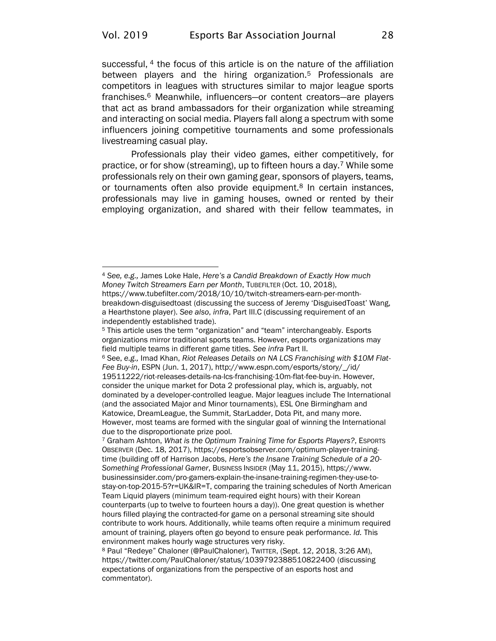successful, <sup>4</sup> the focus of this article is on the nature of the affiliation between players and the hiring organization.<sup>5</sup> Professionals are competitors in leagues with structures similar to major league sports franchises.<sup>6</sup> Meanwhile, influencers—or content creators—are players that act as brand ambassadors for their organization while streaming and interacting on social media. Players fall along a spectrum with some influencers joining competitive tournaments and some professionals livestreaming casual play.

<span id="page-30-0"></span>Professionals play their video games, either competitively, for practice, or for show (streaming), up to fifteen hours a day.<sup>7</sup> While some professionals rely on their own gaming gear, sponsors of players, teams, or tournaments often also provide equipment.<sup>8</sup> In certain instances, professionals may live in gaming houses, owned or rented by their employing organization, and shared with their fellow teammates, in

<sup>4</sup> *See, e.g.,* James Loke Hale, *Here's a Candid Breakdown of Exactly How much Money Twitch Streamers Earn per Month*, TUBEFILTER (Oct. 10, 2018), [https://www.tubefilter.com/2018/10/10/twitch-streamers-earn-per-month](https://www.tubefilter.com/2018/10/10/twitch-streamers-earn-per-month-breakdown-disguisedtoast)[breakdown-disguisedtoast](https://www.tubefilter.com/2018/10/10/twitch-streamers-earn-per-month-breakdown-disguisedtoast) (discussing the success of Jeremy 'DisguisedToast' Wang, a Hearthstone player). *See also*, *infra*, Part III.C (discussing requirement of an independently established trade).

<sup>5</sup> This article uses the term "organization" and "team" interchangeably. Esports organizations mirror traditional sports teams. However, esports organizations may field multiple teams in different game titles. *See infra* Part II.

<sup>6</sup> See, *e.g.,* Imad Khan, *Riot Releases Details on NA LCS Franchising with \$10M Flat-Fee Buy-in*, ESPN (Jun. 1, 2017)[, http://www.espn.com/esports/story/\\_/id/](http://www.espn.com/esports/story/_/id/19511222/riot-releases-details-na-lcs-franchising-10m-flat-fee-buy-in) [19511222/riot-releases-details-na-lcs-franchising-10m-flat-fee-buy-in.](http://www.espn.com/esports/story/_/id/19511222/riot-releases-details-na-lcs-franchising-10m-flat-fee-buy-in) However, consider the unique market for Dota 2 professional play, which is, arguably, not dominated by a developer-controlled league. Major leagues include The International (and the associated Major and Minor tournaments), ESL One Birmingham and Katowice, DreamLeague, the Summit, StarLadder, Dota Pit, and many more. However, most teams are formed with the singular goal of winning the International due to the disproportionate prize pool.

<sup>7</sup> Graham Ashton, *What is the Optimum Training Time for Esports Players?*, ESPORTS OBSERVER (Dec. 18, 2017), [https://esportsobserver.com/optimum-player-training](https://esportsobserver.com/optimum-player-training-time)[time](https://esportsobserver.com/optimum-player-training-time) (building off of Harrison Jacobs, *Here's the Insane Training Schedule of a 20- Something Professional Gamer*, BUSINESS INSIDER (May 11, 2015), [https://www.](https://www.businessinsider.com/pro-gamers-explain-the-insane-training-regimen-they-use-to-stay-on-top-2015-5?r=UK&IR=T) [businessinsider.com/pro-gamers-explain-the-insane-training-regimen-they-use-to](https://www.businessinsider.com/pro-gamers-explain-the-insane-training-regimen-they-use-to-stay-on-top-2015-5?r=UK&IR=T)[stay-on-top-2015-5?r=UK&IR=T,](https://www.businessinsider.com/pro-gamers-explain-the-insane-training-regimen-they-use-to-stay-on-top-2015-5?r=UK&IR=T) comparing the training schedules of North American Team Liquid players (minimum team-required eight hours) with their Korean counterparts (up to twelve to fourteen hours a day)). One great question is whether hours filled playing the contracted-for game on a personal streaming site should contribute to work hours. Additionally, while teams often require a minimum required amount of training, players often go beyond to ensure peak performance. *Id.* This environment makes hourly wage structures very risky.

<sup>8</sup> Paul "Redeye" Chaloner (@PaulChaloner), TWITTER, (Sept. 12, 2018, 3:26 AM), <https://twitter.com/PaulChaloner/status/1039792388510822400> (discussing expectations of organizations from the perspective of an esports host and commentator).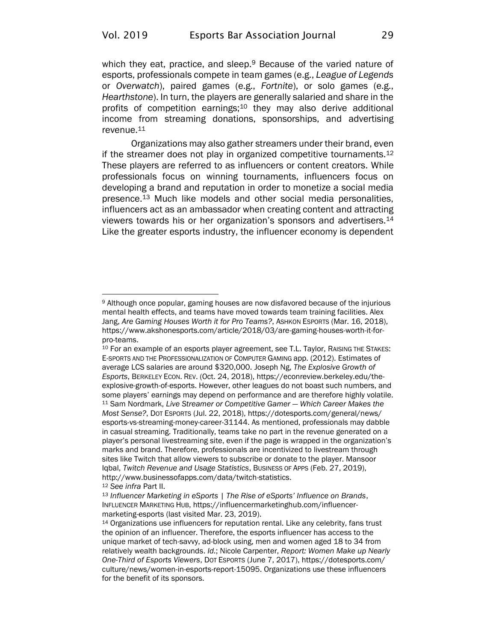<span id="page-31-0"></span>which they eat, practice, and sleep.<sup>9</sup> Because of the varied nature of esports, professionals compete in team games (e.g., *League of Legends*  or *Overwatch*), paired games (e.g., *Fortnite*), or solo games (e.g., *Hearthstone*). In turn, the players are generally salaried and share in the profits of competition earnings;<sup>10</sup> they may also derive additional income from streaming donations, sponsorships, and advertising revenue.<sup>11</sup>

Organizations may also gather streamers under their brand, even if the streamer does not play in organized competitive tournaments. $12$ These players are referred to as influencers or content creators. While professionals focus on winning tournaments, influencers focus on developing a brand and reputation in order to monetize a social media presence.<sup>13</sup> Much like models and other social media personalities, influencers act as an ambassador when creating content and attracting viewers towards his or her organization's sponsors and advertisers.<sup>14</sup> Like the greater esports industry, the influencer economy is dependent

<sup>9</sup> Although once popular, gaming houses are now disfavored because of the injurious mental health effects, and teams have moved towards team training facilities. Alex Jang, *Are Gaming Houses Worth it for Pro Teams?*, ASHKON ESPORTS (Mar. 16, 2018), [https://www.akshonesports.com/article/2018/03/are-gaming-houses-worth-it-for](https://www.akshonesports.com/article/2018/03/are-gaming-houses-worth-it-for-pro-teams)[pro-teams.](https://www.akshonesports.com/article/2018/03/are-gaming-houses-worth-it-for-pro-teams)

<sup>10</sup> For an example of an esports player agreement, see T.L. Taylor, RAISING THE STAKES: E-SPORTS AND THE PROFESSIONALIZATION OF COMPUTER GAMING app. (2012). Estimates of average LCS salaries are around \$320,000. Joseph Ng, *The Explosive Growth of Esports*, BERKELEY ECON. REV. (Oct. 24, 2018), [https://econreview.berkeley.edu/the](https://econreview.berkeley.edu/the-explosive-growth-of-esports)[explosive-growth-of-esports.](https://econreview.berkeley.edu/the-explosive-growth-of-esports) However, other leagues do not boast such numbers, and some players' earnings may depend on performance and are therefore highly volatile. <sup>11</sup> Sam Nordmark, *Live Streamer or Competitive Gamer — Which Career Makes the Most Sense?*, DOT ESPORTS (Jul. 22, 2018), [https://dotesports.com/general/news/](https://dotesports.com/general/news/esports-vs-streaming-money-career-31144) [esports-vs-streaming-money-career-31144.](https://dotesports.com/general/news/esports-vs-streaming-money-career-31144) As mentioned, professionals may dabble in casual streaming. Traditionally, teams take no part in the revenue generated on a player's personal livestreaming site, even if the page is wrapped in the organization's marks and brand. Therefore, professionals are incentivized to livestream through sites like Twitch that allow viewers to subscribe or donate to the player. Mansoor Iqbal, *Twitch Revenue and Usage Statistics*, BUSINESS OF APPS (Feb. 27, 2019), [http://www.businessofapps.com/data/twitch-statistics.](http://www.businessofapps.com/data/twitch-statistics)

<sup>12</sup> *See infra* Part II.

<sup>13</sup> *Influencer Marketing in eSports | The Rise of eSports' Influence on Brands*, INFLUENCER MARKETING HUB, [https://influencermarketinghub.com/influencer](https://influencermarketinghub.com/influencer-marketing-esports)[marketing-esports](https://influencermarketinghub.com/influencer-marketing-esports) (last visited Mar. 23, 2019).

<sup>14</sup> Organizations use influencers for reputation rental. Like any celebrity, fans trust the opinion of an influencer. Therefore, the esports influencer has access to the unique market of tech-savvy, ad-block using, men and women aged 18 to 34 from relatively wealth backgrounds. *Id.*; Nicole Carpenter, *Report: Women Make up Nearly One-Third of Esports Viewers*, DOT ESPORTS (June 7, 2017), [https://dotesports.com/](https://dotesports.com/culture/news/women-in-esports-report-15095) [culture/news/women-in-esports-report-15095.](https://dotesports.com/culture/news/women-in-esports-report-15095) Organizations use these influencers for the benefit of its sponsors.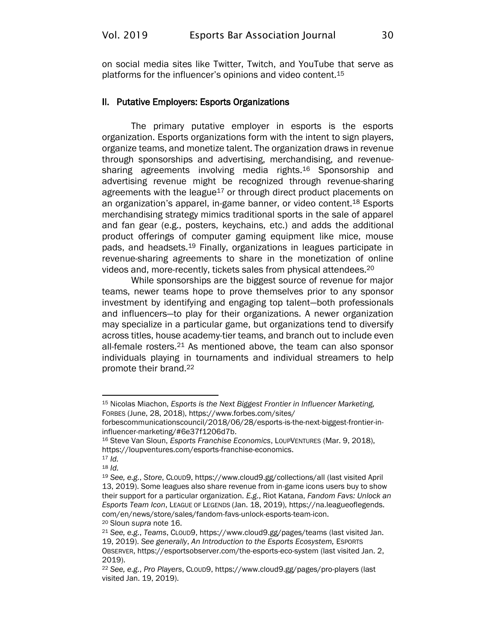on social media sites like Twitter, Twitch, and YouTube that serve as platforms for the influencer's opinions and video content.<sup>15</sup>

#### II. Putative Employers: Esports Organizations

<span id="page-32-0"></span>The primary putative employer in esports is the esports organization. Esports organizations form with the intent to sign players, organize teams, and monetize talent. The organization draws in revenue through sponsorships and advertising, merchandising, and revenuesharing agreements involving media rights.<sup>16</sup> Sponsorship and advertising revenue might be recognized through revenue-sharing agreements with the league<sup>17</sup> or through direct product placements on an organization's apparel, in-game banner, or video content.<sup>18</sup> Esports merchandising strategy mimics traditional sports in the sale of apparel and fan gear (e.g., posters, keychains, etc.) and adds the additional product offerings of computer gaming equipment like mice, mouse pads, and headsets.<sup>19</sup> Finally, organizations in leagues participate in revenue-sharing agreements to share in the monetization of online videos and, more-recently, tickets sales from physical attendees.<sup>20</sup>

While sponsorships are the biggest source of revenue for major teams, newer teams hope to prove themselves prior to any sponsor investment by identifying and engaging top talent—both professionals and influencers—to play for their organizations. A newer organization may specialize in a particular game, but organizations tend to diversify across titles, house academy-tier teams, and branch out to include even all-female rosters.<sup>21</sup> As mentioned above, the team can also sponsor individuals playing in tournaments and individual streamers to help promote their brand.<sup>22</sup>

<sup>15</sup> Nicolas Miachon, *Esports is the Next Biggest Frontier in Influencer Marketing,*  FORBES (June, 28, 2018), [https://www.forbes.com/sites/](https://www.forbes.com/sites/forbescommunicationscouncil/2018/06/28/esports-is-the-next-biggest-frontier-in-influencer-marketing/#6e37f1206d7b)

[forbescommunicationscouncil/2018/06/28/esports-is-the-next-biggest-frontier-in](https://www.forbes.com/sites/forbescommunicationscouncil/2018/06/28/esports-is-the-next-biggest-frontier-in-influencer-marketing/#6e37f1206d7b)[influencer-marketing/#6e37f1206d7b.](https://www.forbes.com/sites/forbescommunicationscouncil/2018/06/28/esports-is-the-next-biggest-frontier-in-influencer-marketing/#6e37f1206d7b)

<sup>16</sup> Steve Van Sloun, *Esports Franchise Economics*, LOUPVENTURES (Mar. 9, 2018), [https://loupventures.com/esports-franchise-economics.](https://loupventures.com/esports-franchise-economics)

<sup>17</sup> *Id.* 

<sup>18</sup> *Id.*

<sup>19</sup> *See, e.g.*, *Store*, CLOUD9[, https://www.cloud9.gg/collections/all](https://www.cloud9.gg/collections/all) (last visited April 13, 2019). Some leagues also share revenue from in-game icons users buy to show their support for a particular organization. *E.g.*, Riot Katana, *Fandom Favs: Unlock an Esports Team Icon*, LEAGUE OF LEGENDS (Jan. 18, 2019)[, https://na.leagueoflegends.](https://na.leagueoflegends.com/en/news/store/sales/fandom-favs-unlock-esports-team-icon) [com/en/news/store/sales/fandom-favs-unlock-esports-team-icon.](https://na.leagueoflegends.com/en/news/store/sales/fandom-favs-unlock-esports-team-icon) <sup>20</sup> Sloun *supra* not[e 16.](#page-32-0) 

<sup>21</sup> *See, e.g.*, *Teams*, CLOUD9,<https://www.cloud9.gg/pages/teams> (last visited Jan. 19, 2019). *See generally*, *An Introduction to the Esports Ecosystem,* ESPORTS OBSERVER[, https://esportsobserver.com/the-esports-eco-system](https://esportsobserver.com/the-esports-eco-system) (last visited Jan. 2, 2019).

<sup>22</sup> *See, e.g.*, *Pro Players*, CLOUD9[, https://www.cloud9.gg/pages/pro-players](https://www.cloud9.gg/pages/pro-players) (last visited Jan. 19, 2019).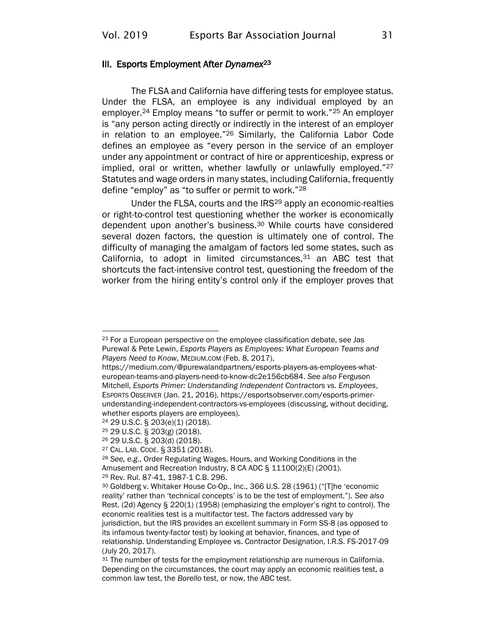#### III. Esports Employment After *Dynamex*<sup>23</sup>

The FLSA and California have differing tests for employee status. Under the FLSA, an employee is any individual employed by an employer.<sup>24</sup> Employ means "to suffer or permit to work."<sup>25</sup> An employer is "any person acting directly or indirectly in the interest of an employer in relation to an employee."<sup>26</sup> Similarly, the California Labor Code defines an employee as "every person in the service of an employer under any appointment or contract of hire or apprenticeship, express or implied, oral or written, whether lawfully or unlawfully employed."<sup>27</sup> Statutes and wage orders in many states, including California, frequently define "employ" as "to suffer or permit to work."<sup>28</sup>

Under the FLSA, courts and the IRS<sup>29</sup> apply an economic-realties or right-to-control test questioning whether the worker is economically dependent upon another's business.<sup>30</sup> While courts have considered several dozen factors, the question is ultimately one of control. The difficulty of managing the amalgam of factors led some states, such as California, to adopt in limited circumstances, $31$  an ABC test that shortcuts the fact-intensive control test, questioning the freedom of the worker from the hiring entity's control only if the employer proves that

<sup>23</sup> For a European perspective on the employee classification debate, see Jas Purewal & Pete Lewin, *Esports Players as Employees: What European Teams and Players Need to Know*, MEDIUM.COM (Feb. 8, 2017),

[https://medium.com/@purewalandpartners/esports-players-as-employees-what](https://medium.com/@purewalandpartners/esports-players-as-employees-what-european-teams-and-players-need-to-know-dc2e156cb684)[european-teams-and-players-need-to-know-dc2e156cb684.](https://medium.com/@purewalandpartners/esports-players-as-employees-what-european-teams-and-players-need-to-know-dc2e156cb684) *See also* Ferguson Mitchell, *Esports Primer: Understanding Independent Contractors vs. Employees*, ESPORTS OBSERVER (Jan. 21, 2016), [https://esportsobserver.com/esports-primer](https://esportsobserver.com/esports-primer-understanding-independent-contractors-vs-employees)[understanding-independent-contractors-vs-employees](https://esportsobserver.com/esports-primer-understanding-independent-contractors-vs-employees) (discussing, without deciding, whether esports players are employees).

<sup>24</sup> 29 U.S.C. § 203(e)(1) (2018).

<sup>25</sup> 29 U.S.C. § 203(g) (2018).

<sup>26</sup> 29 U.S.C. § 203(d) (2018).

<sup>27</sup> CAL. LAB. CODE. § 3351 (2018).

<sup>28</sup> *See, e.g.*, Order Regulating Wages, Hours, and Working Conditions in the Amusement and Recreation Industry, 8 CA ADC § 11100(2)(E) (2001). <sup>29</sup> Rev. Rul. 87-41, 1987-1 C.B. 296.

<sup>30</sup> Goldberg v. Whitaker House Co-Op., Inc., 366 U.S. 28 (1961) ("[T]he 'economic reality' rather than 'technical concepts' is to be the test of employment."). *See also* Rest. (2d) Agency § 220(1) (1958) (emphasizing the employer's right to control). The economic realities test is a multifactor test. The factors addressed vary by jurisdiction, but the IRS provides an excellent summary in Form SS-8 (as opposed to its infamous twenty-factor test) by looking at behavior, finances, and type of relationship. Understanding Employee vs. Contractor Designation, I.R.S. FS-2017-09 (July 20, 2017).

<sup>&</sup>lt;sup>31</sup> The number of tests for the employment relationship are numerous in California. Depending on the circumstances, the court may apply an economic realities test, a common law test, the *Borello* test, or now, the ABC test.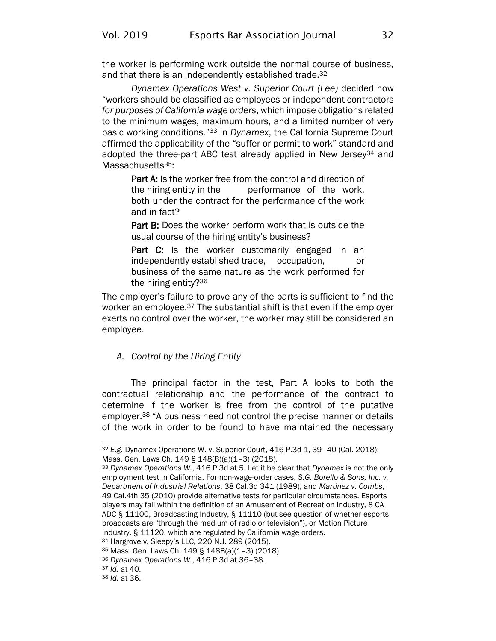the worker is performing work outside the normal course of business, and that there is an independently established trade.<sup>32</sup>

*Dynamex Operations West v. Superior Court (Lee)* decided how "workers should be classified as employees or independent contractors *for purposes of California wage orders*, which impose obligations related to the minimum wages, maximum hours, and a limited number of very basic working conditions."<sup>33</sup> In *Dynamex*, the California Supreme Court affirmed the applicability of the "suffer or permit to work" standard and adopted the three-part ABC test already applied in New Jersey<sup>34</sup> and Massachusetts<sup>35</sup>:

Part A: Is the worker free from the control and direction of the hiring entity in the performance of the work, both under the contract for the performance of the work and in fact?

Part B: Does the worker perform work that is outside the usual course of the hiring entity's business?

Part C: Is the worker customarily engaged in an independently established trade, occupation, or business of the same nature as the work performed for the hiring entity?<sup>36</sup>

The employer's failure to prove any of the parts is sufficient to find the worker an employee.<sup>37</sup> The substantial shift is that even if the employer exerts no control over the worker, the worker may still be considered an employee.

#### *A. Control by the Hiring Entity*

The principal factor in the test, Part A looks to both the contractual relationship and the performance of the contract to determine if the worker is free from the control of the putative employer.<sup>38</sup> "A business need not control the precise manner or details of the work in order to be found to have maintained the necessary

<sup>32</sup> *E.g.* Dynamex Operations W. v. Superior Court, 416 P.3d 1, 39–40 (Cal. 2018); Mass. Gen. Laws Ch. 149 § 148(B)(a)(1–3) (2018).

<sup>33</sup> *Dynamex Operations W.*, 416 P.3d at 5. Let it be clear that *Dynamex* is not the only employment test in California. For non-wage-order cases, *S.G. Borello & Sons, Inc. v. Department of Industrial Relations*, 38 Cal.3d 341 (1989), and *Martinez v. Combs*, 49 Cal.4th 35 (2010) provide alternative tests for particular circumstances. Esports players may fall within the definition of an Amusement of Recreation Industry, 8 CA ADC § 11100, Broadcasting Industry, § 11110 (but see question of whether esports broadcasts are "through the medium of radio or television"), or Motion Picture Industry, § 11120, which are regulated by California wage orders.

<sup>34</sup> Hargrove v. Sleepy's LLC, 220 N.J. 289 (2015).

<sup>35</sup> Mass. Gen. Laws Ch. 149 § 148B(a)(1–3) (2018).

<sup>36</sup> *Dynamex Operations W.*, 416 P.3d at 36–38.

<sup>37</sup> *Id.* at 40.

<sup>38</sup> *Id.* at 36.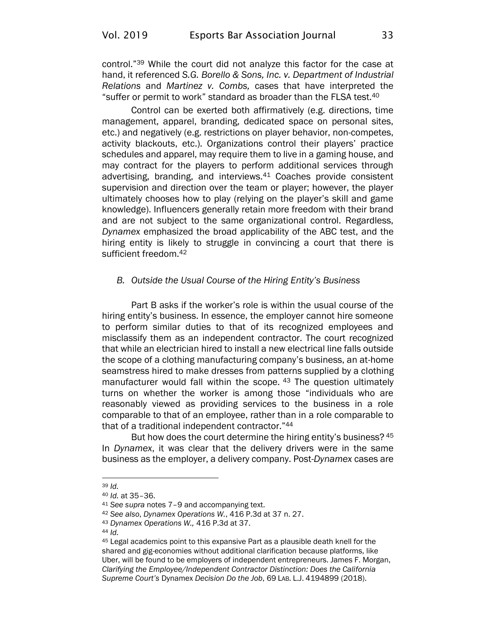control."<sup>39</sup> While the court did not analyze this factor for the case at hand, it referenced *S.G. Borello & Sons, Inc. v. Department of Industrial Relations* and *Martinez v. Combs,* cases that have interpreted the "suffer or permit to work" standard as broader than the FLSA test.<sup>40</sup>

Control can be exerted both affirmatively (e.g. directions, time management, apparel, branding, dedicated space on personal sites, etc.) and negatively (e.g. restrictions on player behavior, non-competes, activity blackouts, etc.). Organizations control their players' practice schedules and apparel, may require them to live in a gaming house, and may contract for the players to perform additional services through advertising, branding, and interviews.<sup>41</sup> Coaches provide consistent supervision and direction over the team or player; however, the player ultimately chooses how to play (relying on the player's skill and game knowledge). Influencers generally retain more freedom with their brand and are not subject to the same organizational control. Regardless, *Dynamex* emphasized the broad applicability of the ABC test, and the hiring entity is likely to struggle in convincing a court that there is sufficient freedom.<sup>42</sup>

#### *B. Outside the Usual Course of the Hiring Entity's Business*

 Part B asks if the worker's role is within the usual course of the hiring entity's business. In essence, the employer cannot hire someone to perform similar duties to that of its recognized employees and misclassify them as an independent contractor. The court recognized that while an electrician hired to install a new electrical line falls outside the scope of a clothing manufacturing company's business, an at-home seamstress hired to make dresses from patterns supplied by a clothing manufacturer would fall within the scope. 43 The question ultimately turns on whether the worker is among those "individuals who are reasonably viewed as providing services to the business in a role comparable to that of an employee, rather than in a role comparable to that of a traditional independent contractor."<sup>44</sup>

But how does the court determine the hiring entity's business? <sup>45</sup> In *Dynamex*, it was clear that the delivery drivers were in the same business as the employer, a delivery company. Post-*Dynamex* cases are

<sup>39</sup> *Id.* 

<sup>40</sup> *Id.* at 35–36.

<sup>41</sup> *See supra* notes [7](#page-30-0)–[9](#page-31-0) and accompanying text.

<sup>42</sup> *See also*, *Dynamex Operations W.*, 416 P.3d at 37 n. 27.

<sup>43</sup> *Dynamex Operations W.,* 416 P.3d at 37.

<sup>44</sup> *Id.* 

<sup>45</sup> Legal academics point to this expansive Part as a plausible death knell for the shared and gig-economies without additional clarification because platforms, like Uber, will be found to be employers of independent entrepreneurs. James F. Morgan, *Clarifying the Employee/Independent Contractor Distinction: Does the California Supreme Court's* Dynamex *Decision Do the Job*, 69 LAB. L.J. 4194899 (2018).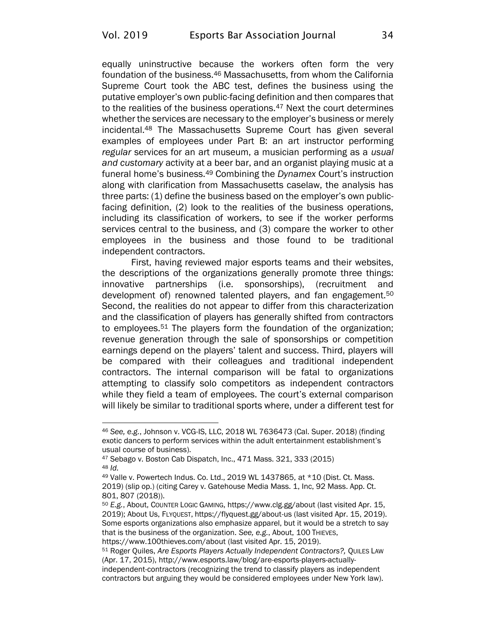equally uninstructive because the workers often form the very foundation of the business.<sup>46</sup> Massachusetts, from whom the California Supreme Court took the ABC test, defines the business using the putative employer's own public-facing definition and then compares that to the realities of the business operations.<sup>47</sup> Next the court determines whether the services are necessary to the employer's business or merely incidental.<sup>48</sup> The Massachusetts Supreme Court has given several examples of employees under Part B: an art instructor performing *regular* services for an art museum, a musician performing as a *usual and customary* activity at a beer bar, and an organist playing music at a funeral home's business.<sup>49</sup> Combining the *Dynamex* Court's instruction along with clarification from Massachusetts caselaw, the analysis has three parts: (1) define the business based on the employer's own publicfacing definition, (2) look to the realities of the business operations, including its classification of workers, to see if the worker performs services central to the business, and (3) compare the worker to other employees in the business and those found to be traditional independent contractors.

First, having reviewed major esports teams and their websites, the descriptions of the organizations generally promote three things: innovative partnerships (i.e. sponsorships), (recruitment and development of) renowned talented players, and fan engagement.<sup>50</sup> Second, the realities do not appear to differ from this characterization and the classification of players has generally shifted from contractors to employees.<sup>51</sup> The players form the foundation of the organization; revenue generation through the sale of sponsorships or competition earnings depend on the players' talent and success. Third, players will be compared with their colleagues and traditional independent contractors. The internal comparison will be fatal to organizations attempting to classify solo competitors as independent contractors while they field a team of employees. The court's external comparison will likely be similar to traditional sports where, under a different test for

<sup>46</sup> *See, e.g.*, Johnson v. VCG-IS, LLC, 2018 WL 7636473 (Cal. Super. 2018) (finding exotic dancers to perform services within the adult entertainment establishment's usual course of business).

<sup>47</sup> Sebago v. Boston Cab Dispatch, Inc., 471 Mass. 321, 333 (2015) <sup>48</sup> *Id.*

<sup>49</sup> Valle v. Powertech Indus. Co. Ltd., 2019 WL 1437865, at \*10 (Dist. Ct. Mass. 2019) (slip op.) (citing Carey v. Gatehouse Media Mass. 1, Inc, 92 Mass. App. Ct. 801, 807 (2018)).

<sup>50</sup> *E.g.*, About, COUNTER LOGIC GAMING[, https://www.clg.gg/about](https://www.clg.gg/about) (last visited Apr. 15, 2019); About Us, FLYQUEST, <https://flyquest.gg/about-us> (last visited Apr. 15, 2019). Some esports organizations also emphasize apparel, but it would be a stretch to say that is the business of the organization. *See, e.g.*, About, 100 THIEVES, <https://www.100thieves.com/about> (last visited Apr. 15, 2019).

<sup>51</sup> Roger Quiles, *Are Esports Players Actually Independent Contractors?,* QUILES LAW (Apr. 17, 2015), [http://www.esports.law/blog/are-esports-players-actually](http://www.esports.law/blog/are-esports-players-actually-independent-contractors)[independent-contractors](http://www.esports.law/blog/are-esports-players-actually-independent-contractors) (recognizing the trend to classify players as independent

contractors but arguing they would be considered employees under New York law).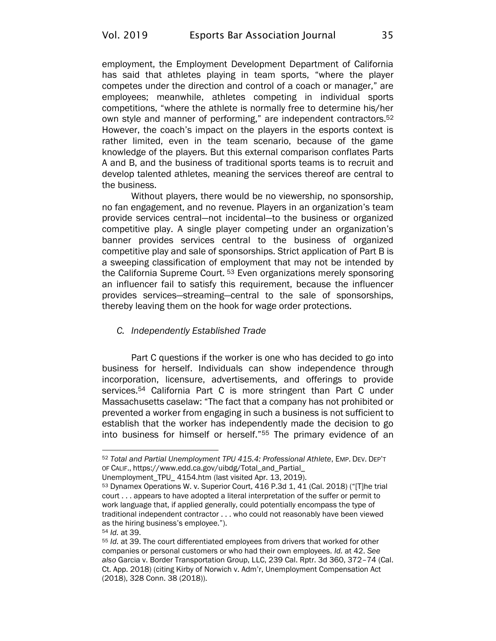employment, the Employment Development Department of California has said that athletes playing in team sports, "where the player competes under the direction and control of a coach or manager," are employees; meanwhile, athletes competing in individual sports competitions, "where the athlete is normally free to determine his/her own style and manner of performing," are independent contractors.<sup>52</sup> However, the coach's impact on the players in the esports context is rather limited, even in the team scenario, because of the game knowledge of the players. But this external comparison conflates Parts A and B, and the business of traditional sports teams is to recruit and develop talented athletes, meaning the services thereof are central to the business.

Without players, there would be no viewership, no sponsorship, no fan engagement, and no revenue. Players in an organization's team provide services central—not incidental—to the business or organized competitive play. A single player competing under an organization's banner provides services central to the business of organized competitive play and sale of sponsorships. Strict application of Part B is a sweeping classification of employment that may not be intended by the California Supreme Court.<sup>53</sup> Even organizations merely sponsoring an influencer fail to satisfy this requirement, because the influencer provides services—streaming—central to the sale of sponsorships, thereby leaving them on the hook for wage order protections.

#### *C. Independently Established Trade*

Part C questions if the worker is one who has decided to go into business for herself. Individuals can show independence through incorporation, licensure, advertisements, and offerings to provide services.<sup>54</sup> California Part C is more stringent than Part C under Massachusetts caselaw: "The fact that a company has not prohibited or prevented a worker from engaging in such a business is not sufficient to establish that the worker has independently made the decision to go into business for himself or herself."<sup>55</sup> The primary evidence of an

[Unemployment\\_TPU\\_ 4154.htm](https://www.edd.ca.gov/uibdg/Total_and_Partial_Unemployment_TPU_%204154.htm) (last visited Apr. 13, 2019).

<sup>52</sup> *Total and Partial Unemployment TPU 415.4: Professional Athlete*, EMP. DEV. DEP'T OF CALIF., [https://www.edd.ca.gov/uibdg/Total\\_and\\_Partial\\_](https://www.edd.ca.gov/uibdg/Total_and_Partial_Unemployment_TPU_%204154.htm)

<sup>53</sup> Dynamex Operations W. v. Superior Court, 416 P.3d 1, 41 (Cal. 2018) ("[T]he trial court . . . appears to have adopted a literal interpretation of the suffer or permit to work language that, if applied generally, could potentially encompass the type of traditional independent contractor . . . who could not reasonably have been viewed as the hiring business's employee.").

<sup>54</sup> *Id.* at 39.

<sup>55</sup> *Id.* at 39. The court differentiated employees from drivers that worked for other companies or personal customers or who had their own employees. *Id.* at 42. *See also* Garcia v. Border Transportation Group, LLC, 239 Cal. Rptr. 3d 360, 372–74 (Cal. Ct. App. 2018) (citing Kirby of Norwich v. Adm'r, Unemployment Compensation Act (2018), 328 Conn. 38 (2018)).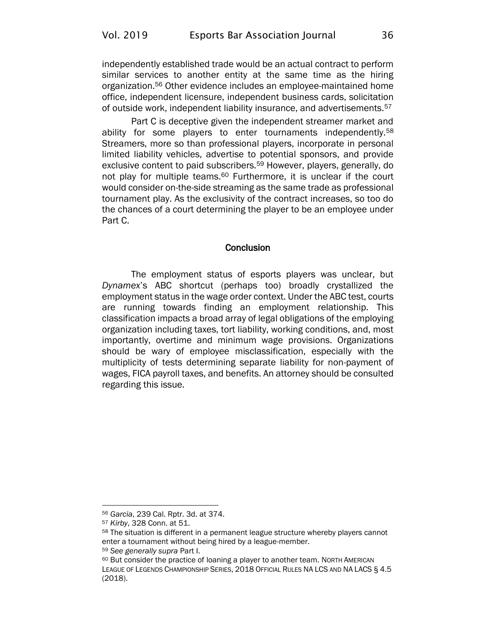independently established trade would be an actual contract to perform similar services to another entity at the same time as the hiring organization.<sup>56</sup> Other evidence includes an employee-maintained home office, independent licensure, independent business cards, solicitation of outside work, independent liability insurance, and advertisements.<sup>57</sup>

Part C is deceptive given the independent streamer market and ability for some players to enter tournaments independently.<sup>58</sup> Streamers, more so than professional players, incorporate in personal limited liability vehicles, advertise to potential sponsors, and provide exclusive content to paid subscribers.<sup>59</sup> However, players, generally, do not play for multiple teams.<sup>60</sup> Furthermore, it is unclear if the court would consider on-the-side streaming as the same trade as professional tournament play. As the exclusivity of the contract increases, so too do the chances of a court determining the player to be an employee under Part C.

#### **Conclusion**

The employment status of esports players was unclear, but *Dynamex*'s ABC shortcut (perhaps too) broadly crystallized the employment status in the wage order context. Under the ABC test, courts are running towards finding an employment relationship. This classification impacts a broad array of legal obligations of the employing organization including taxes, tort liability, working conditions, and, most importantly, overtime and minimum wage provisions. Organizations should be wary of employee misclassification, especially with the multiplicity of tests determining separate liability for non-payment of wages, FICA payroll taxes, and benefits. An attorney should be consulted regarding this issue.

<sup>56</sup> *Garcia*, 239 Cal. Rptr. 3d. at 374.

<sup>57</sup> *Kirby*, 328 Conn. at 51.

<sup>&</sup>lt;sup>58</sup> The situation is different in a permanent league structure whereby players cannot enter a tournament without being hired by a league-member.

<sup>59</sup> *See generally supra* Part I.

<sup>60</sup> But consider the practice of loaning a player to another team. NORTH AMERICAN LEAGUE OF LEGENDS CHAMPIONSHIP SERIES, 2018 OFFICIAL RULES NA LCS AND NA LACS § 4.5 (2018).